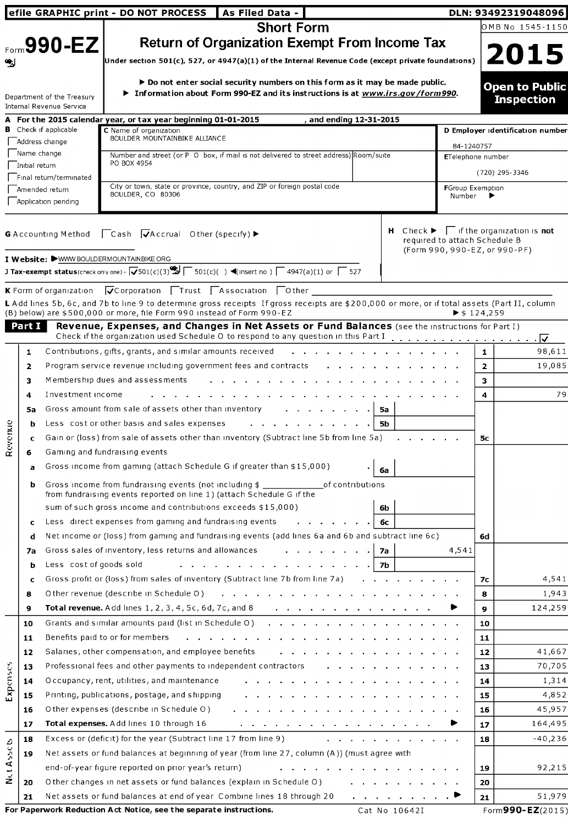|                 |                |                              | efile GRAPHIC print - DO NOT PROCESS<br>As Filed Data -                                                                                                                                           |                               |                | DLN: 93492319048096                                               |
|-----------------|----------------|------------------------------|---------------------------------------------------------------------------------------------------------------------------------------------------------------------------------------------------|-------------------------------|----------------|-------------------------------------------------------------------|
|                 |                |                              | <b>Short Form</b>                                                                                                                                                                                 |                               |                | OMB No 1545-1150                                                  |
|                 |                | Form 990-EZ                  | <b>Return of Organization Exempt From Income Tax</b>                                                                                                                                              |                               |                |                                                                   |
|                 |                |                              | Under section 501(c), 527, or 4947(a)(1) of the Internal Revenue Code (except private foundations)                                                                                                |                               |                | 2015                                                              |
|                 |                |                              |                                                                                                                                                                                                   |                               |                |                                                                   |
|                 |                |                              | $\triangleright$ Do not enter social security numbers on this form as it may be made public.                                                                                                      |                               |                | <b>Open to Public</b>                                             |
|                 |                | Department of the Treasury   | <b>Follo</b> Information about Form 990-EZ and its instructions is at <i>www.irs.gov/form990.</i>                                                                                                 |                               |                | <b>Inspection</b>                                                 |
|                 |                | Internal Revenue Service     |                                                                                                                                                                                                   |                               |                |                                                                   |
|                 |                | <b>B</b> Check if applicable | A For the 2015 calendar year, or tax year beginning 01-01-2015<br>, and ending 12-31-2015<br>C Name of organization                                                                               |                               |                | D Employer identification number                                  |
|                 |                | Address change               | BOULDER MOUNTAINBIKE ALLIANCE                                                                                                                                                                     | 84-1240757                    |                |                                                                   |
|                 |                | Name change                  | Number and street (or P O box, if mail is not delivered to street address) Room/suite                                                                                                             | ETelephone number             |                |                                                                   |
|                 | Initial return | Final return/terminated      | PO BOX 4954                                                                                                                                                                                       |                               |                | (720) 295-3346                                                    |
|                 |                | Amended return               | City or town, state or province, country, and ZIP or foreign postal code                                                                                                                          | <b>F</b> Group Exemption      |                |                                                                   |
|                 |                | Application pending          | BOULDER, CO 80306                                                                                                                                                                                 | Number                        |                |                                                                   |
|                 |                |                              |                                                                                                                                                                                                   |                               |                |                                                                   |
|                 |                |                              | G Accounting Method   Cash   √Accrual Other (specify) ▶                                                                                                                                           |                               |                | $H$ Check $\blacktriangleright$ $\Box$ if the organization is not |
|                 |                |                              |                                                                                                                                                                                                   | required to attach Schedule B |                |                                                                   |
|                 |                |                              | I Website: WWW BOULDERMOUNTAINBIKE ORG                                                                                                                                                            | (Form 990, 990-EZ, or 990-PF) |                |                                                                   |
|                 |                |                              | J Tax-exempt status(check only one) - $\sqrt{501(c)(3)}$ $\sqrt{501(c)(3)}$ $\sqrt{(\text{insert no })}$ $\sqrt{247(a)(1)}$ or $\sqrt{527}$                                                       |                               |                |                                                                   |
|                 |                |                              | <b>K</b> Form of organization $\sqrt{\sqrt{C}}$ corporation $\sqrt{\sqrt{C}}$ Trust $\sqrt{\sqrt{C}}$ Association $\sqrt{\sqrt{C}}$ Other                                                         |                               |                |                                                                   |
|                 |                |                              | LAdd lines 5b, 6c, and 7b to line 9 to determine gross receipts If gross receipts are \$200,000 or more, or if total assets (Part II, column                                                      |                               |                |                                                                   |
|                 |                |                              | (B) below) are \$500,000 or more, file Form 990 instead of Form 990-EZ                                                                                                                            | $\triangleright$ \$124,259    |                |                                                                   |
|                 | Part I         |                              | Revenue, Expenses, and Changes in Net Assets or Fund Balances (see the instructions for Part I)                                                                                                   |                               |                |                                                                   |
|                 |                |                              | Check if the organization used Schedule O to respond to any question in this Part I contract in the organization used                                                                             |                               |                |                                                                   |
|                 | 1              |                              | Contributions, gifts, grants, and similar amounts received                                                                                                                                        |                               | 1              | 98,611                                                            |
|                 | 2              |                              | Program service revenue including government fees and contracts $\cdots$ , $\cdots$ , $\cdots$ , $\cdots$ , $\cdots$                                                                              |                               | $\overline{2}$ | 19,085                                                            |
|                 | з              |                              | Membership dues and assessments                                                                                                                                                                   |                               | 3              |                                                                   |
|                 | 4              | Investment income            |                                                                                                                                                                                                   |                               | 4              | 79                                                                |
|                 | 5a             |                              | Gross amount from sale of assets other than inventory<br>5а                                                                                                                                       |                               |                |                                                                   |
| Revenue         | b              |                              | Less cost or other basis and sales expenses<br>and a strain and a strain and<br>5b                                                                                                                |                               |                |                                                                   |
|                 | c              |                              | Gain or (loss) from sale of assets other than inventory (Subtract line 5b from line 5a)                                                                                                           |                               | 5с             |                                                                   |
|                 | 6              |                              | Gaming and fundraising events                                                                                                                                                                     |                               |                |                                                                   |
|                 | a              |                              | Gross income from gaming (attach Schedule G if greater than \$15,000)<br>6a                                                                                                                       |                               |                |                                                                   |
|                 | b              |                              | Gross income from fundraising events (not including \$<br>of contributions                                                                                                                        |                               |                |                                                                   |
|                 |                |                              | from fundraising events reported on line 1) (attach Schedule G if the<br>sum of such gross income and contributions exceeds \$15,000)                                                             |                               |                |                                                                   |
|                 |                |                              | 6b<br>Less direct expenses from gaming and fundraising events<br>6с<br>$\cdot$ $\cdot$ $\cdot$ $\cdot$ $\cdot$ $\cdot$                                                                            |                               |                |                                                                   |
|                 | c              |                              | Net income or (loss) from gaming and fundraising events (add lines 6a and 6b and subtract line 6c)                                                                                                |                               |                |                                                                   |
|                 | d<br>7а        |                              | Gross sales of inventory, less returns and allowances<br>7а                                                                                                                                       | 4,541                         | 6d             |                                                                   |
|                 | b              | Less cost of goods sold      | 7b<br>and a straightful contract and a straight                                                                                                                                                   |                               |                |                                                                   |
|                 | c              |                              | Gross profit or (loss) from sales of inventory (Subtract line 7b from line 7a)<br>the contract of the contract of the contract of the contract of the contract of the contract of the contract of |                               | 7с             | 4,541                                                             |
|                 | 8              |                              | Other revenue (describe in Schedule O)<br>the contract of the contract of the contract of the contract of the contract of                                                                         |                               | 8              | 1,943                                                             |
|                 | 9              |                              | <b>Total revenue.</b> Add lines $1, 2, 3, 4, 5c, 6d, 7c, and 8$                                                                                                                                   |                               | 9              | 124,259                                                           |
|                 |                |                              | Grants and similar amounts paid (list in Schedule O)                                                                                                                                              |                               |                |                                                                   |
|                 | 10             |                              | Benefits paid to or for members                                                                                                                                                                   |                               | 10             |                                                                   |
|                 | 11             |                              | and a series of the contract of the contract of the<br>Salaries, other compensation, and employee benefits                                                                                        |                               | 11             | 41,667                                                            |
|                 | 12             |                              | the company of the company<br>Professional fees and other payments to independent contractors                                                                                                     |                               | 12             |                                                                   |
|                 | 13             |                              |                                                                                                                                                                                                   |                               | 13             | 70,705                                                            |
| <b>Expenses</b> | 14             |                              | Occupancy, rent, utilities, and maintenance                                                                                                                                                       |                               | 14             | 1,314                                                             |
|                 | 15             |                              | Printing, publications, postage, and shipping                                                                                                                                                     |                               | 15             | 4,852                                                             |
|                 | 16             |                              | Other expenses (describe in Schedule O)                                                                                                                                                           |                               | 16             | 45,957                                                            |
|                 | 17             |                              | Total expenses. Add lines 10 through 16<br>and a series of the contract of the contract of the contract of the contract of                                                                        |                               | 17             | 164,495                                                           |
|                 | 18             |                              | Excess or (deficit) for the year (Subtract line 17 from line 9)                                                                                                                                   |                               | 18             | $-40,236$                                                         |
| tAsseb          | 19             |                              | Net assets or fund balances at beginning of year (from line 27, column (A)) (must agree with                                                                                                      |                               |                |                                                                   |
| ź               |                |                              | end-of-year figure reported on prior year's return)                                                                                                                                               |                               | 19             | 92,215                                                            |
|                 | 20             |                              | Other changes in net assets or fund balances (explain in Schedule O)                                                                                                                              |                               | 20             |                                                                   |
|                 | 21             |                              | Net assets or fund balances at end of year Combine lines 18 through 20<br>the company of the company of the company                                                                               |                               | 21             | 51,979                                                            |
|                 |                |                              | For Paperwork Reduction Act Notice, see the separate instructions.<br>Cat No 10642I                                                                                                               |                               |                | Form990-EZ(2015)                                                  |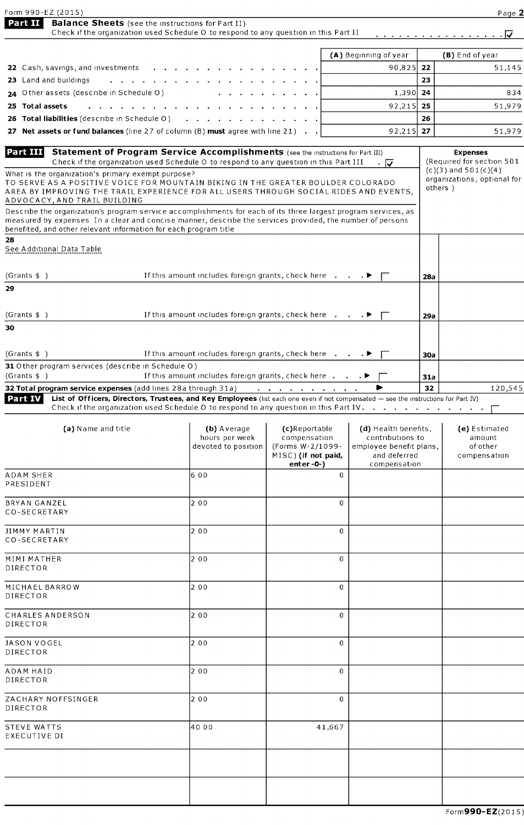| Form 990-EZ (2015)                                                                                                                                                                                                          |                                                               |                                  |                         |                  |            | Page 2                                       |
|-----------------------------------------------------------------------------------------------------------------------------------------------------------------------------------------------------------------------------|---------------------------------------------------------------|----------------------------------|-------------------------|------------------|------------|----------------------------------------------|
| Part II<br><b>Balance Sheets</b> (see the instructions for Part II)<br>Check if the organization used Schedule O to respond to any question in this Part II                                                                 |                                                               |                                  |                         |                  |            | .                                            |
|                                                                                                                                                                                                                             |                                                               |                                  | (A) Beginning of year   |                  |            | (B) End of year                              |
| 22 Cash, savings, and investments                                                                                                                                                                                           |                                                               |                                  |                         | 90,825           | 22         | 51,145                                       |
| 23 Land and buildings                                                                                                                                                                                                       |                                                               |                                  |                         |                  | 23         |                                              |
| 24 Other assets (describe in Schedule O)                                                                                                                                                                                    |                                                               |                                  |                         | 1,390            | 24         | 834                                          |
| 25 Total assets                                                                                                                                                                                                             |                                                               |                                  |                         | 92, 215          | 25         | 51,979                                       |
| 26 Total liabilities (describe in Schedule O)<br>27 Net assets or fund balances (line 27 of column (B) must agree with line 21)                                                                                             |                                                               |                                  |                         |                  | 26         |                                              |
|                                                                                                                                                                                                                             |                                                               |                                  |                         | 92,215           | 27         | 51,979                                       |
| Part III<br>Statement of Program Service Accomplishments (see the instructions for Part III)                                                                                                                                |                                                               |                                  |                         |                  |            | <b>Expenses</b><br>(Required for section 501 |
| Check if the organization used Schedule O to respond to any question in this Part III<br>What is the organization's primary exempt purpose?                                                                                 |                                                               |                                  | - ज                     |                  |            | $(c)(3)$ and $501(c)(4)$                     |
| TO SERVE AS A POSITIVE VOICE FOR MOUNTAIN BIKING IN THE GREATER BOULDER COLORADO<br>AREA BY IMPROVING THE TRAIL EXPERIENCE FOR ALL USERS THROUGH SOCIAL RIDES AND EVENTS,                                                   |                                                               |                                  |                         |                  |            | organizations, optional for<br>others)       |
| ADVOCACY, AND TRAIL BUILDING                                                                                                                                                                                                |                                                               |                                  |                         |                  |            |                                              |
| Describe the organization's program service accomplishments for each of its three largest program services, as<br>measured by expenses In a clear and concise manner, describe the services provided, the number of persons |                                                               |                                  |                         |                  |            |                                              |
| benefited, and other relevant information for each program title                                                                                                                                                            |                                                               |                                  |                         |                  |            |                                              |
| 28<br>See Additional Data Table                                                                                                                                                                                             |                                                               |                                  |                         |                  |            |                                              |
|                                                                                                                                                                                                                             |                                                               |                                  |                         |                  |            |                                              |
| (Grants \$)                                                                                                                                                                                                                 | If this amount includes foreign grants, check here $\ldots$   |                                  |                         |                  | <b>28a</b> |                                              |
| 29                                                                                                                                                                                                                          |                                                               |                                  |                         |                  |            |                                              |
|                                                                                                                                                                                                                             |                                                               |                                  |                         |                  |            |                                              |
| (Grants \$)                                                                                                                                                                                                                 | If this amount includes foreign grants, check here $\ldots$ , |                                  |                         |                  | 29a        |                                              |
| 30                                                                                                                                                                                                                          |                                                               |                                  |                         |                  |            |                                              |
| (Grants \$)                                                                                                                                                                                                                 | If this amount includes foreign grants, check here $\ldots$ , |                                  |                         |                  |            |                                              |
| 31 Other program services (describe in Schedule O)                                                                                                                                                                          |                                                               |                                  |                         |                  | 30a        |                                              |
| (Grants \$)                                                                                                                                                                                                                 | If this amount includes foreign grants, check here $\ldots$ , |                                  |                         |                  | 31a        |                                              |
| 32 Total program service expenses (add lines 28a through 31a)<br>Part IV<br>List of Officers, Directors, Trustees, and Key Employees (list each one even if not compensated - see the instructions for Part IV)             |                                                               | and a straightful contract and a |                         |                  | 32         | 120,545                                      |
| Check if the organization used Schedule O to respond to any question in this Part IV. $\cdots$ , $\cdots$ , $\cdots$ , $\cdots$                                                                                             |                                                               |                                  |                         |                  |            |                                              |
| (a) Name and title                                                                                                                                                                                                          | (b) Average                                                   | (c)Reportable                    | (d) Health benefits,    |                  |            | (e) Estimated                                |
|                                                                                                                                                                                                                             | hours per week                                                | compensation                     |                         | contributions to |            | amount                                       |
|                                                                                                                                                                                                                             | devoted to position $\vert$ (Forms W-2/1099-                  | MISC) (if not paid,              | employee benefit plans, | and deferred     |            | of other<br>compensation                     |
|                                                                                                                                                                                                                             |                                                               | $enter - 0-$ )                   |                         | compensation     |            |                                              |
| ADAM SHER<br>PRESIDENT                                                                                                                                                                                                      | 600                                                           |                                  | 0                       |                  |            |                                              |
| <b>BRYAN GANZEL</b>                                                                                                                                                                                                         | 200                                                           |                                  | 0                       |                  |            |                                              |
| CO-SECRETARY                                                                                                                                                                                                                |                                                               |                                  |                         |                  |            |                                              |
| JIMMY MARTIN                                                                                                                                                                                                                | 2 0 0                                                         |                                  | 0                       |                  |            |                                              |
| CO-SECRETARY                                                                                                                                                                                                                |                                                               |                                  |                         |                  |            |                                              |
| MIMI MATHER                                                                                                                                                                                                                 | 200                                                           |                                  | 0                       |                  |            |                                              |
| DIRECTOR                                                                                                                                                                                                                    |                                                               |                                  |                         |                  |            |                                              |
| MICHAEL BARROW                                                                                                                                                                                                              | 2 0 0                                                         |                                  | 0                       |                  |            |                                              |
| DIRECTOR                                                                                                                                                                                                                    |                                                               |                                  |                         |                  |            |                                              |
| CHARLES ANDERSON                                                                                                                                                                                                            | 2 0 0                                                         |                                  | 0                       |                  |            |                                              |
| DIRECTOR                                                                                                                                                                                                                    |                                                               |                                  |                         |                  |            |                                              |
| JASON VOGEL<br>DIRECTOR                                                                                                                                                                                                     | 2 0 0                                                         |                                  | 0                       |                  |            |                                              |
|                                                                                                                                                                                                                             |                                                               |                                  |                         |                  |            |                                              |
| ADAM HAID<br>DIRECTOR                                                                                                                                                                                                       | 200                                                           |                                  | 0                       |                  |            |                                              |
|                                                                                                                                                                                                                             |                                                               |                                  |                         |                  |            |                                              |
| ZACHARY NOFFSINGER<br>DIRECTOR                                                                                                                                                                                              | 2 0 0                                                         |                                  | 0                       |                  |            |                                              |
| STEVE WATTS                                                                                                                                                                                                                 | 4000                                                          | 41,667                           |                         |                  |            |                                              |
| EXECUTIVE DI                                                                                                                                                                                                                |                                                               |                                  |                         |                  |            |                                              |
|                                                                                                                                                                                                                             |                                                               |                                  |                         |                  |            |                                              |
|                                                                                                                                                                                                                             |                                                               |                                  |                         |                  |            |                                              |
|                                                                                                                                                                                                                             |                                                               |                                  |                         |                  |            |                                              |
|                                                                                                                                                                                                                             |                                                               |                                  |                         |                  |            |                                              |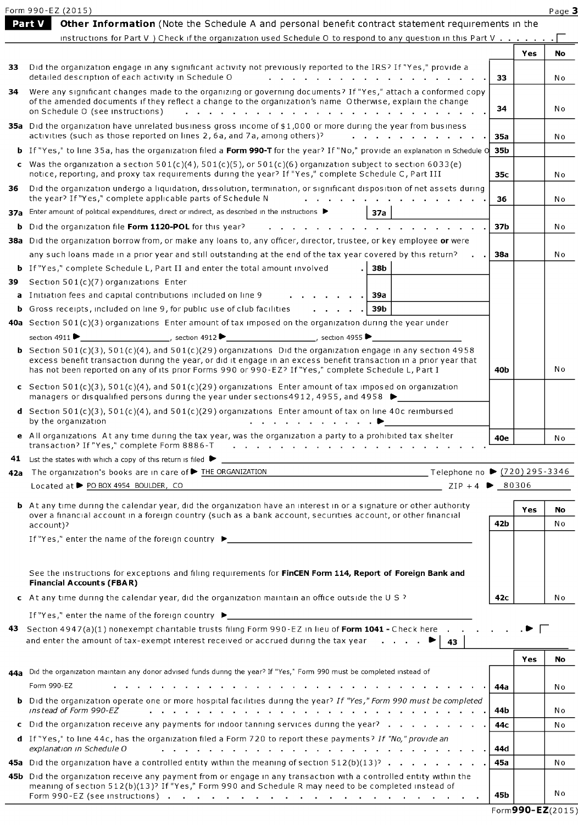|     | Form 990-EZ (2015)                                                                                                                                                                                                                                                                                                                                                                                                                                           |             |            | Page 3         |
|-----|--------------------------------------------------------------------------------------------------------------------------------------------------------------------------------------------------------------------------------------------------------------------------------------------------------------------------------------------------------------------------------------------------------------------------------------------------------------|-------------|------------|----------------|
|     | Part V<br>Other Information (Note the Schedule A and personal benefit contract statement requirements in the                                                                                                                                                                                                                                                                                                                                                 |             |            |                |
|     | instructions for Part V $\cdot$ Check if the organization used Schedule O to respond to any question in this Part V $\cdot \cdot \cdot$ .                                                                                                                                                                                                                                                                                                                    |             |            |                |
|     |                                                                                                                                                                                                                                                                                                                                                                                                                                                              |             | Yes        | <b>No</b>      |
| 33. | Did the organization engage in any significant activity not previously reported to the IRS? If "Yes," provide a<br>detailed description of each activity in Schedule O<br>and the contract of the contract of the contract of the contract of the contract of the contract of the contract of the contract of the contract of the contract of the contract of the contract of the contract of the contra                                                     | 33          |            | No             |
| 34. | Were any significant changes made to the organizing or governing documents? If "Yes," attach a conformed copy<br>of the amended documents if they reflect a change to the organization's name Otherwise, explain the change<br>on Schedule O (see instructions)                                                                                                                                                                                              | 34          |            | N <sub>0</sub> |
|     | 35a Did the organization have unrelated business gross income of \$1,000 or more during the year from business<br>activities (such as those reported on lines 2, 6a, and 7a, among others)?                                                                                                                                                                                                                                                                  | 35a         |            | No             |
|     | <b>b</b> If "Yes," to line 35a, has the organization filed a Form 990-T for the year? If "No," provide an explanation in Schedule O                                                                                                                                                                                                                                                                                                                          | 35b         |            |                |
|     | c Was the organization a section $501(c)(4)$ , $501(c)(5)$ , or $501(c)(6)$ organization subject to section $6033(e)$<br>notice, reporting, and proxy tax requirements during the year? If "Yes," complete Schedule C, Part III                                                                                                                                                                                                                              | 35с         |            | No             |
| 36  | Did the organization undergo a liquidation, dissolution, termination, or significant disposition of net assets during<br>the year? If "Yes," complete applicable parts of Schedule N                                                                                                                                                                                                                                                                         | 36          |            | No             |
|     | 37a Enter amount of political expenditures, direct or indirect, as described in the instructions<br>37a                                                                                                                                                                                                                                                                                                                                                      |             |            |                |
| b.  | Did the organization file Form 1120-POL for this year?                                                                                                                                                                                                                                                                                                                                                                                                       | 37b         |            | No             |
|     | 38a Did the organization borrow from, or make any loans to, any officer, director, trustee, or key employee or were                                                                                                                                                                                                                                                                                                                                          |             |            |                |
|     | any such loans made in a prior year and still outstanding at the end of the tax year covered by this return?                                                                                                                                                                                                                                                                                                                                                 | 38a         |            | No             |
|     | <b>b</b> If "Yes," complete Schedule L, Part II and enter the total amount involved<br>38 <b>b</b>                                                                                                                                                                                                                                                                                                                                                           |             |            |                |
| 39  | Section 501(c)(7) organizations Enter                                                                                                                                                                                                                                                                                                                                                                                                                        |             |            |                |
| a   | Initiation fees and capital contributions included on line 9<br>39a                                                                                                                                                                                                                                                                                                                                                                                          |             |            |                |
| b   | Gross receipts, included on line 9, for public use of club facilities<br>39b                                                                                                                                                                                                                                                                                                                                                                                 |             |            |                |
|     | 40a Section 501(c)(3) organizations Enter amount of tax imposed on the organization during the year under                                                                                                                                                                                                                                                                                                                                                    |             |            |                |
|     |                                                                                                                                                                                                                                                                                                                                                                                                                                                              |             |            |                |
|     | <b>b</b> Section 501(c)(3), 501(c)(4), and 501(c)(29) organizations Did the organization engage in any section 4958<br>excess benefit transaction during the year, or did it engage in an excess benefit transaction in a prior year that<br>has not been reported on any of its prior Forms 990 or 990-EZ? If "Yes," complete Schedule L, Part I                                                                                                            | 40b         |            | No             |
|     | c Section 501(c)(3), 501(c)(4), and 501(c)(29) organizations Enter amount of tax imposed on organization<br>managers or disqualified persons during the year under sections 4912, 4955, and 4958 $\blacktriangleright$                                                                                                                                                                                                                                       |             |            |                |
|     | <b>d</b> Section 501(c)(3), 501(c)(4), and 501(c)(29) organizations Enter amount of tax on line 40c reimbursed<br>by the organization<br>.                                                                                                                                                                                                                                                                                                                   |             |            |                |
|     | e All organizations At any time during the tax year, was the organization a party to a prohibited tax shelter<br>transaction? If "Yes," complete Form 8886-T<br>the contract of the contract of the contract of the contract of the                                                                                                                                                                                                                          |             |            | No             |
| 41  | List the states with which a copy of this return is filed $\blacktriangleright$                                                                                                                                                                                                                                                                                                                                                                              |             |            |                |
| 42a | $\blacksquare$ Telephone no $\blacktriangleright$ (720) 295-3346<br>The organization's books are in care of ▶ THE ORGANIZATION                                                                                                                                                                                                                                                                                                                               |             |            |                |
|     | $ZIP + 4$ $\triangleright$ 80306<br>Located at ▶ PO BOX 4954 BOULDER, CO                                                                                                                                                                                                                                                                                                                                                                                     |             |            |                |
|     | <b>b</b> At any time during the calendar year, did the organization have an interest in or a signature or other authority<br>over a financial account in a foreign country (such as a bank account, securities account, or other financial<br>account)?                                                                                                                                                                                                      | 42 <b>b</b> | Yes        | No<br>No       |
|     | If "Yes," enter the name of the foreign country $\blacktriangleright$                                                                                                                                                                                                                                                                                                                                                                                        |             |            |                |
|     |                                                                                                                                                                                                                                                                                                                                                                                                                                                              |             |            |                |
|     | See the instructions for exceptions and filing requirements for FinCEN Form 114, Report of Foreign Bank and<br><b>Financial Accounts (FBAR)</b>                                                                                                                                                                                                                                                                                                              |             |            |                |
|     | c At any time during the calendar year, did the organization maintain an office outside the U S ?                                                                                                                                                                                                                                                                                                                                                            | 42c         |            | No             |
|     | If "Yes," enter the name of the foreign country $\blacktriangleright$                                                                                                                                                                                                                                                                                                                                                                                        |             |            |                |
|     | 43 Section 4947(a)(1) nonexempt charitable trusts filing Form 990-EZ in lieu of Form 1041 - Check here                                                                                                                                                                                                                                                                                                                                                       |             |            |                |
|     | and enter the amount of tax-exempt interest received or accrued during the tax year $\cdots$ $\cdots$<br>43                                                                                                                                                                                                                                                                                                                                                  |             |            |                |
|     |                                                                                                                                                                                                                                                                                                                                                                                                                                                              |             | <b>Yes</b> | No             |
| 44а | Did the organization maintain any donor advised funds during the year? If "Yes," Form 990 must be completed instead of                                                                                                                                                                                                                                                                                                                                       |             |            |                |
|     | Form 990-EZ<br>a constitution of the constitution of the constitution of the constitution of the constitution of the constitution of                                                                                                                                                                                                                                                                                                                         | 44a         |            | No             |
|     | <b>b</b> Did the organization operate one or more hospital facilities during the year? If "Yes," Form 990 must be completed<br>Instead of Form 990-EZ<br>the contract of the contract of the contract of the contract of the contract of the contract of                                                                                                                                                                                                     | 44b         |            | No             |
|     | c Did the organization receive any payments for indoor tanning services during the year? $\ldots$ , $\ldots$ , $\ldots$                                                                                                                                                                                                                                                                                                                                      | 44с         |            | No             |
|     | <b>d</b> If "Yes," to line 44c, has the organization filed a Form 720 to report these payments? If "No," provide an                                                                                                                                                                                                                                                                                                                                          |             |            |                |
|     | explanation in Schedule O<br>the contract of the contract of the contract of the contract of the contract of the contract of the contract of                                                                                                                                                                                                                                                                                                                 | 44d         |            |                |
|     | <b>45a</b> Did the organization have a controlled entity within the meaning of section $512(b)(13)$ ?                                                                                                                                                                                                                                                                                                                                                        | 45a         |            | No             |
|     | 45b Did the organization receive any payment from or engage in any transaction with a controlled entity within the<br>meaning of section 512(b)(13)? If "Yes," Form 990 and Schedule R may need to be completed instead of<br>Form 990-EZ (see instructions) and a series are also contained by the series of the series of the series of the series of the series of the series of the series of the series of the series of the series of the series of th | 45b         |            | No             |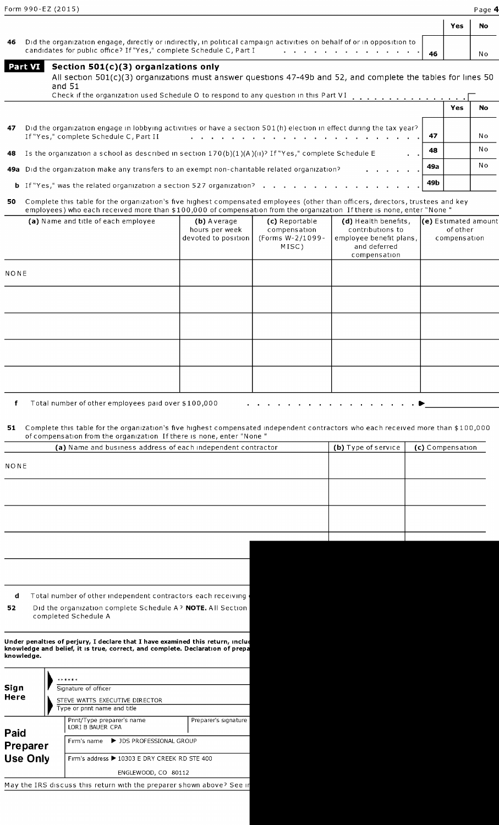| Form 990-EZ (2015) |
|--------------------|
|--------------------|

|                                                                                                                           | Yes | No             |
|---------------------------------------------------------------------------------------------------------------------------|-----|----------------|
| 46 Did the organization engage, directly or indirectly, in political campaign activities on behalf of or in opposition to |     | N <sub>O</sub> |
| Part VI Section 501(c)(3) organizations only                                                                              |     |                |

| All section 501(c)(3) organizations must answer questions 47-49b and 52, and complete the tables for lines 50 |  |
|---------------------------------------------------------------------------------------------------------------|--|
| and 51                                                                                                        |  |
| Check if the organization used Schedule O to respond to any question in this Part VI                          |  |

|    | Check if the organization used Schedule O to respond to any question in this Part VI                                                                          |     |     |     |
|----|---------------------------------------------------------------------------------------------------------------------------------------------------------------|-----|-----|-----|
|    |                                                                                                                                                               |     | Yes | No  |
| 47 | Did the organization engage in lobbying activities or have a section 501(h) election in effect during the tax year?<br>If "Yes," complete Schedule C, Part II |     |     | No  |
| 48 | Is the organization a school as described in section $170(b)(1)(A)(ii)$ ? If "Yes," complete Schedule E                                                       | 48  |     | N o |
|    | 49a Did the organization make any transfers to an exempt non-charitable related organization?                                                                 | 49a |     | No  |
|    |                                                                                                                                                               | 49b |     |     |

| 50 Complete this table for the organization's five highest compensated employees (other than officers, directors, trustees and key |
|------------------------------------------------------------------------------------------------------------------------------------|
| employees) who each received more than \$100,000 of compensation from the organization If there is none, enter "None"              |

| (a) Name and title of each employee | (b) Average<br>hours per week<br>devoted to position | (c) Reportable<br>compensation<br>(Forms W-2/1099-<br>MISC) | (d) Health benefits,<br>contributions to<br>employee benefit plans,<br>and deferred<br>compensation | (e) Estimated amount<br>of other<br>compensation |
|-------------------------------------|------------------------------------------------------|-------------------------------------------------------------|-----------------------------------------------------------------------------------------------------|--------------------------------------------------|
| NONE                                |                                                      |                                                             |                                                                                                     |                                                  |
|                                     |                                                      |                                                             |                                                                                                     |                                                  |
|                                     |                                                      |                                                             |                                                                                                     |                                                  |
|                                     |                                                      |                                                             |                                                                                                     |                                                  |
|                                     |                                                      |                                                             |                                                                                                     |                                                  |
|                                     |                                                      |                                                             |                                                                                                     |                                                  |

f Total number of other employees paid over \$100,000 . . . .

**51**  $\,$  Complete this table for the organization's five highest compensated independent contractors who each received more than \$100,000 of compensation from the organization If there is none, enter "None "

|      | (a) Name and business address of each independent contractor | (b) $Type$ of service | (c) Compensation |
|------|--------------------------------------------------------------|-----------------------|------------------|
| NONE |                                                              |                       |                  |
|      |                                                              |                       |                  |
|      |                                                              |                       |                  |
|      |                                                              |                       |                  |

|    | Total number of other independent contractors each receiving                        |
|----|-------------------------------------------------------------------------------------|
| 52 | Did the organization complete Schedule A? NOTE, All Section<br>completed Schedule A |

Under penalties of perjury, <sup>I</sup> declare that <sup>I</sup> have examined this return, inclu knowledge and belief, it is true, correct, and complete. Declaration of prep knowledge.

| Sign<br>Here                                                          |  | ******<br>Signature of officer<br>STEVE WATTS EXECUTIVE DIRECTOR<br>Type or print name and title |                      |  |  |  |
|-----------------------------------------------------------------------|--|--------------------------------------------------------------------------------------------------|----------------------|--|--|--|
| Paid                                                                  |  | Print/Type preparer's name<br>LORI B BAUER CPA                                                   | Preparer's signature |  |  |  |
| Preparer                                                              |  | Firm's name > JDS PROFESSIONAL GROUP                                                             |                      |  |  |  |
| <b>Use Only</b>                                                       |  | Firm's address ▶ 10303 E DRY CREEK RD STE 400                                                    |                      |  |  |  |
|                                                                       |  | ENGLEWOOD, CO 80112                                                                              |                      |  |  |  |
| May the IRS discuss this return with the preparer shown above? See in |  |                                                                                                  |                      |  |  |  |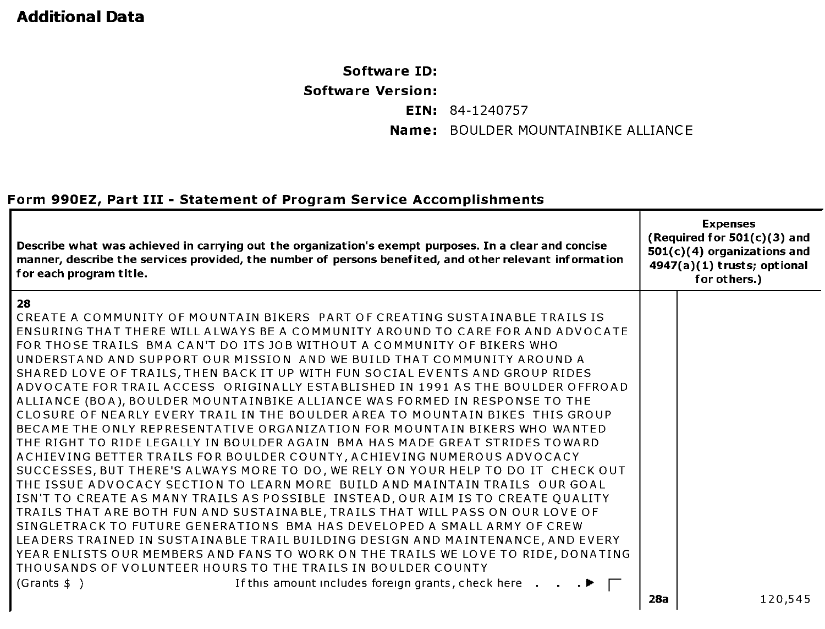## Software ID:

Software Version:

EIN: 84-1240757

Name: BOULDER MOUNTAINBIKE ALLIANCE

## Form 990EZ, Part III - Statement of Program Service Accomplishments

| Describe what was achieved in carrying out the organization's exempt purposes. In a clear and concise<br>manner, describe the services provided, the number of persons benefited, and other relevant information<br>for each program title. |            | <b>Expenses</b><br>(Required for $501(c)(3)$ and<br>$501(c)(4)$ organizations and<br>4947(a)(1) trusts; optional<br>for others.) |
|---------------------------------------------------------------------------------------------------------------------------------------------------------------------------------------------------------------------------------------------|------------|----------------------------------------------------------------------------------------------------------------------------------|
| 28                                                                                                                                                                                                                                          |            |                                                                                                                                  |
| CREATE A COMMUNITY OF MOUNTAIN BIKERS PART OF CREATING SUSTAINABLE TRAILS IS                                                                                                                                                                |            |                                                                                                                                  |
| ENSURING THAT THERE WILL ALWAYS BE A COMMUNITY AROUND TO CARE FOR AND ADVOCATE                                                                                                                                                              |            |                                                                                                                                  |
| FOR THOSE TRAILS BMA CAN'T DO ITS JOB WITHOUT A COMMUNITY OF BIKERS WHO                                                                                                                                                                     |            |                                                                                                                                  |
| UNDERSTAND AND SUPPORT OUR MISSION AND WE BUILD THAT COMMUNITY AROUND A                                                                                                                                                                     |            |                                                                                                                                  |
| SHARED LOVE OF TRAILS, THEN BACK IT UP WITH FUN SOCIAL EVENTS AND GROUP RIDES                                                                                                                                                               |            |                                                                                                                                  |
| ADVOCATE FOR TRAIL ACCESS ORIGINALLY ESTABLISHED IN 1991 AS THE BOULDER OFFROAD                                                                                                                                                             |            |                                                                                                                                  |
| ALLIANCE (BOA), BOULDER MOUNTAINBIKE ALLIANCE WAS FORMED IN RESPONSE TO THE                                                                                                                                                                 |            |                                                                                                                                  |
| CLOSURE OF NEARLY EVERY TRAIL IN THE BOULDER AREA TO MOUNTAIN BIKES THIS GROUP<br>BECAME THE ONLY REPRESENTATIVE ORGANIZATION FOR MOUNTAIN BIKERS WHO WANTED                                                                                |            |                                                                                                                                  |
| THE RIGHT TO RIDE LEGALLY IN BOULDER AGAIN BMA HAS MADE GREAT STRIDES TOWARD                                                                                                                                                                |            |                                                                                                                                  |
| ACHIEVING BETTER TRAILS FOR BOULDER COUNTY, ACHIEVING NUMEROUS ADVOCACY                                                                                                                                                                     |            |                                                                                                                                  |
| SUCCESSES, BUT THERE'S ALWAYS MORE TO DO, WE RELY ON YOUR HELP TO DO IT CHECK OUT                                                                                                                                                           |            |                                                                                                                                  |
| THE ISSUE ADVOCACY SECTION TO LEARN MORE BUILD AND MAINTAIN TRAILS OUR GOAL                                                                                                                                                                 |            |                                                                                                                                  |
| ISN'T TO CREATE AS MANY TRAILS AS POSSIBLE INSTEAD, OUR AIM IS TO CREATE QUALITY                                                                                                                                                            |            |                                                                                                                                  |
| TRAILS THAT ARE BOTH FUN AND SUSTAINABLE, TRAILS THAT WILL PASS ON OUR LOVE OF                                                                                                                                                              |            |                                                                                                                                  |
| SINGLETRACK TO FUTURE GENERATIONS BMA HAS DEVELOPED A SMALL ARMY OF CREW                                                                                                                                                                    |            |                                                                                                                                  |
| LEADERS TRAINED IN SUSTAINABLE TRAIL BUILDING DESIGN AND MAINTENANCE, AND EVERY                                                                                                                                                             |            |                                                                                                                                  |
| YEAR ENLISTS OUR MEMBERS AND FANS TO WORK ON THE TRAILS WE LOVE TO RIDE, DONATING                                                                                                                                                           |            |                                                                                                                                  |
| THOUSANDS OF VOLUNTEER HOURS TO THE TRAILS IN BOULDER COUNTY                                                                                                                                                                                |            |                                                                                                                                  |
| (Grants \$ )<br>If this amount includes foreign grants, check here $\blacksquare$ .                                                                                                                                                         |            |                                                                                                                                  |
|                                                                                                                                                                                                                                             | <b>28a</b> | 120,545                                                                                                                          |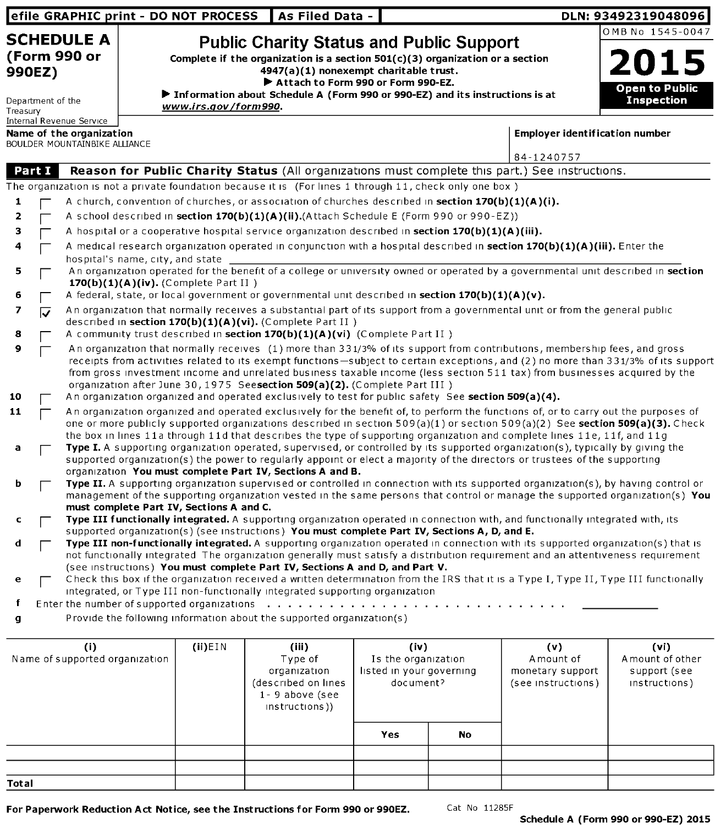|          |                                                                       |                                   |                                  | efile GRAPHIC print - DO NOT PROCESS     | As Filed Data -                                                              |  |                                                                                                                                                                                                                                                                                                                                                               |                                       | DLN: 93492319048096                                                                                                                |
|----------|-----------------------------------------------------------------------|-----------------------------------|----------------------------------|------------------------------------------|------------------------------------------------------------------------------|--|---------------------------------------------------------------------------------------------------------------------------------------------------------------------------------------------------------------------------------------------------------------------------------------------------------------------------------------------------------------|---------------------------------------|------------------------------------------------------------------------------------------------------------------------------------|
|          | 990EZ)                                                                | <b>SCHEDULE A</b><br>(Form 990 or |                                  |                                          | 4947(a)(1) nonexempt charitable trust.<br>Attach to Form 990 or Form 990-EZ. |  | <b>Public Charity Status and Public Support</b><br>Complete if the organization is a section $501(c)(3)$ organization or a section                                                                                                                                                                                                                            |                                       | OMB No 1545-0047<br><b>2015</b><br>Open to Public                                                                                  |
| Treasury | Department of the                                                     | Internal Revenue Service          |                                  | www.irs.gov/form990.                     |                                                                              |  | Information about Schedule A (Form 990 or 990-EZ) and its instructions is at                                                                                                                                                                                                                                                                                  |                                       | <b>Inspection</b>                                                                                                                  |
|          |                                                                       | Name of the organization          |                                  |                                          |                                                                              |  |                                                                                                                                                                                                                                                                                                                                                               | <b>Employer identification number</b> |                                                                                                                                    |
|          |                                                                       | BOULDER MOUNTAINBIKE ALLIANCE     |                                  |                                          |                                                                              |  |                                                                                                                                                                                                                                                                                                                                                               | 84-1240757                            |                                                                                                                                    |
|          | Part I                                                                |                                   |                                  |                                          |                                                                              |  | Reason for Public Charity Status (All organizations must complete this part.) See instructions.                                                                                                                                                                                                                                                               |                                       |                                                                                                                                    |
|          |                                                                       |                                   |                                  |                                          |                                                                              |  | The organization is not a private foundation because it is (For lines 1 through 11, check only one box)                                                                                                                                                                                                                                                       |                                       |                                                                                                                                    |
| 1        |                                                                       |                                   |                                  |                                          |                                                                              |  | A church, convention of churches, or association of churches described in section 170(b)(1)(A)(i).                                                                                                                                                                                                                                                            |                                       |                                                                                                                                    |
| 2        |                                                                       |                                   |                                  |                                          |                                                                              |  | A school described in section 170(b)(1)(A)(ii).(Attach Schedule E (Form 990 or 990-EZ))                                                                                                                                                                                                                                                                       |                                       |                                                                                                                                    |
| 3        |                                                                       |                                   |                                  |                                          |                                                                              |  | A hospital or a cooperative hospital service organization described in section 170(b)(1)(A)(iii).                                                                                                                                                                                                                                                             |                                       |                                                                                                                                    |
| 4        |                                                                       |                                   |                                  |                                          |                                                                              |  | A medical research organization operated in conjunction with a hospital described in section 170(b)(1)(A)(iii). Enter the                                                                                                                                                                                                                                     |                                       |                                                                                                                                    |
|          |                                                                       |                                   | hospital's name, city, and state |                                          |                                                                              |  |                                                                                                                                                                                                                                                                                                                                                               |                                       |                                                                                                                                    |
| 5        |                                                                       |                                   |                                  | $170(b)(1)(A)(iv)$ . (Complete Part II)  |                                                                              |  | An organization operated for the benefit of a college or university owned or operated by a governmental unit described in section                                                                                                                                                                                                                             |                                       |                                                                                                                                    |
|          |                                                                       |                                   |                                  |                                          |                                                                              |  | A federal, state, or local government or governmental unit described in section $170(b)(1)(A)(v)$ .                                                                                                                                                                                                                                                           |                                       |                                                                                                                                    |
| 7        | ⊽                                                                     |                                   |                                  |                                          |                                                                              |  | An organization that normally receives a substantial part of its support from a governmental unit or from the general public                                                                                                                                                                                                                                  |                                       |                                                                                                                                    |
|          |                                                                       |                                   |                                  |                                          | described in section $170(b)(1)(A)(vi)$ . (Complete Part II)                 |  |                                                                                                                                                                                                                                                                                                                                                               |                                       |                                                                                                                                    |
| 8        |                                                                       |                                   |                                  |                                          | A community trust described in section 170(b)(1)(A)(vi) (Complete Part II)   |  |                                                                                                                                                                                                                                                                                                                                                               |                                       |                                                                                                                                    |
| 9<br>10  |                                                                       |                                   |                                  |                                          | organization after June 30, 1975 Seesection 509(a)(2). (Complete Part III)   |  | An organization that normally receives (1) more than 331/3% of its support from contributions, membership fees, and gross<br>from gross investment income and unrelated business taxable income (less section 511 tax) from businesses acquired by the<br>An organization organized and operated exclusively to test for public safety See section 509(a)(4). |                                       | receipts from activities related to its exempt functions-subject to certain exceptions, and (2) no more than 331/3% of its support |
| 11       |                                                                       |                                   |                                  |                                          |                                                                              |  | An organization organized and operated exclusively for the benefit of, to perform the functions of, or to carry out the purposes of                                                                                                                                                                                                                           |                                       |                                                                                                                                    |
|          |                                                                       |                                   |                                  |                                          |                                                                              |  | one or more publicly supported organizations described in section $509(a)(1)$ or section $509(a)(2)$ See section 509(a)(3). Check<br>the box in lines 11a through 11d that describes the type of supporting organization and complete lines 11e, 11f, and 11g                                                                                                 |                                       |                                                                                                                                    |
| а        |                                                                       |                                   |                                  |                                          | organization You must complete Part IV, Sections A and B.                    |  | Type I. A supporting organization operated, supervised, or controlled by its supported organization(s), typically by giving the<br>supported organization(s) the power to regularly appoint or elect a majority of the directors or trustees of the supporting                                                                                                |                                       |                                                                                                                                    |
| b        |                                                                       |                                   |                                  |                                          |                                                                              |  | Type II. A supporting organization supervised or controlled in connection with its supported organization(s), by having control or                                                                                                                                                                                                                            |                                       |                                                                                                                                    |
|          |                                                                       |                                   |                                  |                                          |                                                                              |  | management of the supporting organization vested in the same persons that control or manage the supported organization(s) You                                                                                                                                                                                                                                 |                                       |                                                                                                                                    |
|          |                                                                       |                                   |                                  | must complete Part IV, Sections A and C. |                                                                              |  | Type III functionally integrated. A supporting organization operated in connection with, and functionally integrated with, its                                                                                                                                                                                                                                |                                       |                                                                                                                                    |
| с        |                                                                       |                                   |                                  |                                          |                                                                              |  | supported organization(s) (see instructions) You must complete Part IV, Sections A, D, and E.                                                                                                                                                                                                                                                                 |                                       |                                                                                                                                    |
|          |                                                                       |                                   |                                  |                                          |                                                                              |  | Type III non-functionally integrated. A supporting organization operated in connection with its supported organization(s) that is                                                                                                                                                                                                                             |                                       |                                                                                                                                    |
|          |                                                                       |                                   |                                  |                                          | (see instructions) You must complete Part IV, Sections A and D, and Part V.  |  | not functionally integrated The organization generally must satisfy a distribution requirement and an attentiveness requirement                                                                                                                                                                                                                               |                                       |                                                                                                                                    |
| e        |                                                                       |                                   |                                  |                                          |                                                                              |  | Check this box if the organization received a written determination from the IRS that it is a Type I, Type II, Type III functionally                                                                                                                                                                                                                          |                                       |                                                                                                                                    |
|          |                                                                       |                                   |                                  |                                          | integrated, or Type III non-functionally integrated supporting organization  |  |                                                                                                                                                                                                                                                                                                                                                               |                                       |                                                                                                                                    |
| f        |                                                                       |                                   |                                  |                                          |                                                                              |  |                                                                                                                                                                                                                                                                                                                                                               |                                       |                                                                                                                                    |
| g        | Provide the following information about the supported organization(s) |                                   |                                  |                                          |                                                                              |  |                                                                                                                                                                                                                                                                                                                                                               |                                       |                                                                                                                                    |
|          |                                                                       | (i)                               |                                  | (ii) EIN                                 | (iii)                                                                        |  | (iv)                                                                                                                                                                                                                                                                                                                                                          | (v)                                   | (v <sub>i</sub> )                                                                                                                  |
|          |                                                                       | Name of supported organization    |                                  |                                          | Type of                                                                      |  | Is the organization                                                                                                                                                                                                                                                                                                                                           | A mount of                            | A mount of other                                                                                                                   |
|          |                                                                       |                                   |                                  |                                          | organization                                                                 |  | listed in your governing                                                                                                                                                                                                                                                                                                                                      | monetary support                      | support (see                                                                                                                       |

|                                | (ii)EIN | (iii)        | í iv                     | (v               | (vi)            |
|--------------------------------|---------|--------------|--------------------------|------------------|-----------------|
| Name of supported organization |         | vpe of       | Is the organization      | A mount of       | A mount of othe |
|                                |         | organization | listed in your governing | monetary support | support (see    |

(described on lines 1- 9 above (see instructions)) document? (see instructions) instructions) Yes | No Total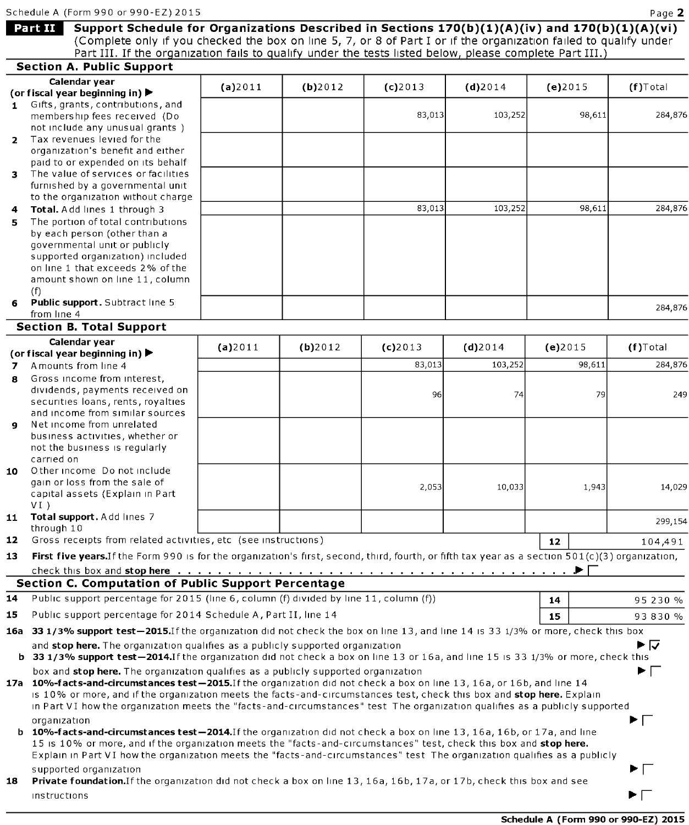|              | Schedule A (Form 990 or 990-EZ) 2015                                                                                                                                                                                                                                                                                                                                                                                                                                  |         |            |            |            |            |        | Page 2                                |
|--------------|-----------------------------------------------------------------------------------------------------------------------------------------------------------------------------------------------------------------------------------------------------------------------------------------------------------------------------------------------------------------------------------------------------------------------------------------------------------------------|---------|------------|------------|------------|------------|--------|---------------------------------------|
|              | Part II<br>Support Schedule for Organizations Described in Sections 170(b)(1)(A)(iv) and 170(b)(1)(A)(vi)<br>(Complete only if you checked the box on line 5, 7, or 8 of Part I or if the organization failed to qualify under<br>Part III. If the organization fails to qualify under the tests listed below, please complete Part III.)                                                                                                                             |         |            |            |            |            |        |                                       |
|              | <b>Section A. Public Support</b>                                                                                                                                                                                                                                                                                                                                                                                                                                      |         |            |            |            |            |        |                                       |
|              | Calendar year                                                                                                                                                                                                                                                                                                                                                                                                                                                         | (a)2011 | $(b)$ 2012 | $(c)$ 2013 | $(d)$ 2014 | (e)2015    |        | $(f)$ Total                           |
| $\mathbf{1}$ | (or fiscal year beginning in) $\blacktriangleright$<br>Gifts, grants, contributions, and                                                                                                                                                                                                                                                                                                                                                                              |         |            |            |            |            |        |                                       |
|              | membership fees received (Do                                                                                                                                                                                                                                                                                                                                                                                                                                          |         |            | 83,013     | 103,252    |            | 98,611 | 284,876                               |
|              | not include any unusual grants)                                                                                                                                                                                                                                                                                                                                                                                                                                       |         |            |            |            |            |        |                                       |
| $\mathbf{2}$ | Tax revenues levied for the                                                                                                                                                                                                                                                                                                                                                                                                                                           |         |            |            |            |            |        |                                       |
|              | organization's benefit and either                                                                                                                                                                                                                                                                                                                                                                                                                                     |         |            |            |            |            |        |                                       |
| з.           | paid to or expended on its behalf<br>The value of services or facilities                                                                                                                                                                                                                                                                                                                                                                                              |         |            |            |            |            |        |                                       |
|              | furnished by a governmental unit                                                                                                                                                                                                                                                                                                                                                                                                                                      |         |            |            |            |            |        |                                       |
|              | to the organization without charge                                                                                                                                                                                                                                                                                                                                                                                                                                    |         |            |            |            |            |        |                                       |
| 4            | <b>Total.</b> Add lines 1 through 3                                                                                                                                                                                                                                                                                                                                                                                                                                   |         |            | 83,013     | 103,252    |            | 98,611 | 284,876                               |
| 5            | The portion of total contributions                                                                                                                                                                                                                                                                                                                                                                                                                                    |         |            |            |            |            |        |                                       |
|              | by each person (other than a<br>governmental unit or publicly                                                                                                                                                                                                                                                                                                                                                                                                         |         |            |            |            |            |        |                                       |
|              | supported organization) included                                                                                                                                                                                                                                                                                                                                                                                                                                      |         |            |            |            |            |        |                                       |
|              | on line 1 that exceeds 2% of the                                                                                                                                                                                                                                                                                                                                                                                                                                      |         |            |            |            |            |        |                                       |
|              | amount shown on line 11, column                                                                                                                                                                                                                                                                                                                                                                                                                                       |         |            |            |            |            |        |                                       |
|              | (f)                                                                                                                                                                                                                                                                                                                                                                                                                                                                   |         |            |            |            |            |        |                                       |
| 6            | <b>Public support.</b> Subtract line 5<br>from line 4                                                                                                                                                                                                                                                                                                                                                                                                                 |         |            |            |            |            |        | 284,876                               |
|              | <b>Section B. Total Support</b>                                                                                                                                                                                                                                                                                                                                                                                                                                       |         |            |            |            |            |        |                                       |
|              | Calendar year                                                                                                                                                                                                                                                                                                                                                                                                                                                         |         |            |            |            |            |        |                                       |
|              | (or fiscal year beginning in) $\blacktriangleright$                                                                                                                                                                                                                                                                                                                                                                                                                   | (a)2011 | $(b)$ 2012 | $(c)$ 2013 | $(d)$ 2014 | $(e)$ 2015 |        | $(f)$ Total                           |
| 7            | Amounts from line 4                                                                                                                                                                                                                                                                                                                                                                                                                                                   |         |            | 83,013     | 103,252    |            | 98,611 | 284,876                               |
| 8            | Gross income from interest.                                                                                                                                                                                                                                                                                                                                                                                                                                           |         |            |            |            |            |        |                                       |
|              | dividends, payments received on<br>securities loans, rents, royalties                                                                                                                                                                                                                                                                                                                                                                                                 |         |            | 96         | 74         |            | 79     | 249                                   |
|              | and income from similar sources                                                                                                                                                                                                                                                                                                                                                                                                                                       |         |            |            |            |            |        |                                       |
| 9            | Net income from unrelated                                                                                                                                                                                                                                                                                                                                                                                                                                             |         |            |            |            |            |        |                                       |
|              | business activities, whether or                                                                                                                                                                                                                                                                                                                                                                                                                                       |         |            |            |            |            |        |                                       |
|              | not the business is regularly                                                                                                                                                                                                                                                                                                                                                                                                                                         |         |            |            |            |            |        |                                       |
| 10           | carried on<br>Other income Do not include                                                                                                                                                                                                                                                                                                                                                                                                                             |         |            |            |            |            |        |                                       |
|              | gain or loss from the sale of                                                                                                                                                                                                                                                                                                                                                                                                                                         |         |            |            |            |            |        |                                       |
|              | capital assets (Explain in Part                                                                                                                                                                                                                                                                                                                                                                                                                                       |         |            | 2,053      | 10,033     |            | 1,943  | 14,029                                |
|              | $VI$ )                                                                                                                                                                                                                                                                                                                                                                                                                                                                |         |            |            |            |            |        |                                       |
| 11           | Total support. Add lines 7<br>through 10                                                                                                                                                                                                                                                                                                                                                                                                                              |         |            |            |            |            |        | 299,154                               |
| 12           | Gross receipts from related activities, etc (see instructions)                                                                                                                                                                                                                                                                                                                                                                                                        |         |            |            |            | 12         |        | 104,491                               |
| 13           | First five years. If the Form 990 is for the organization's first, second, third, fourth, or fifth tax year as a section 501(c)(3) organization,                                                                                                                                                                                                                                                                                                                      |         |            |            |            |            |        |                                       |
|              | check this box and stop here entirely entering to the context of the context of the context of the context of $\blacktriangleright$                                                                                                                                                                                                                                                                                                                                   |         |            |            |            |            |        |                                       |
|              | <b>Section C. Computation of Public Support Percentage</b>                                                                                                                                                                                                                                                                                                                                                                                                            |         |            |            |            |            |        |                                       |
| 14           | Public support percentage for 2015 (line 6, column (f) divided by line 11, column (f))                                                                                                                                                                                                                                                                                                                                                                                |         |            |            |            | 14         |        | 95 230 %                              |
| 15           | Public support percentage for 2014 Schedule A, Part II, line 14                                                                                                                                                                                                                                                                                                                                                                                                       |         |            |            |            | 15         |        | 93 830 %                              |
|              | 16a 33 1/3% support test-2015. If the organization did not check the box on line 13, and line 14 is 33 1/3% or more, check this box                                                                                                                                                                                                                                                                                                                                   |         |            |            |            |            |        |                                       |
|              | and stop here. The organization qualifies as a publicly supported organization<br><b>b</b> 33 1/3% support test-2014. If the organization did not check a box on line 13 or 16a, and line 15 is 33 1/3% or more, check this                                                                                                                                                                                                                                           |         |            |            |            |            |        | ▶ ⊽                                   |
|              | box and stop here. The organization qualifies as a publicly supported organization<br>17a 10%-facts-and-circumstances test-2015. If the organization did not check a box on line 13, 16a, or 16b, and line 14<br>is 10% or more, and if the organization meets the facts-and-circumstances test, check this box and stop here. Explain<br>in Part VI how the organization meets the "facts-and-circumstances" test The organization qualifies as a publicly supported |         |            |            |            |            |        |                                       |
|              | organization<br><b>b</b> 10%-facts-and-circumstances test-2014. If the organization did not check a box on line 13, 16a, 16b, or 17a, and line<br>15 is 10% or more, and if the organization meets the "facts-and-circumstances" test, check this box and stop here.<br>Explain in Part VI how the organization meets the "facts-and-circumstances" test The organization qualifies as a publicly                                                                     |         |            |            |            |            |        |                                       |
| 18           | supported organization<br>Private foundation. If the organization did not check a box on line 13, 16a, 16b, 17a, or 17b, check this box and see<br>instructions                                                                                                                                                                                                                                                                                                       |         |            |            |            |            |        | ▶ ∣<br>$\blacktriangleright$ $\sqcap$ |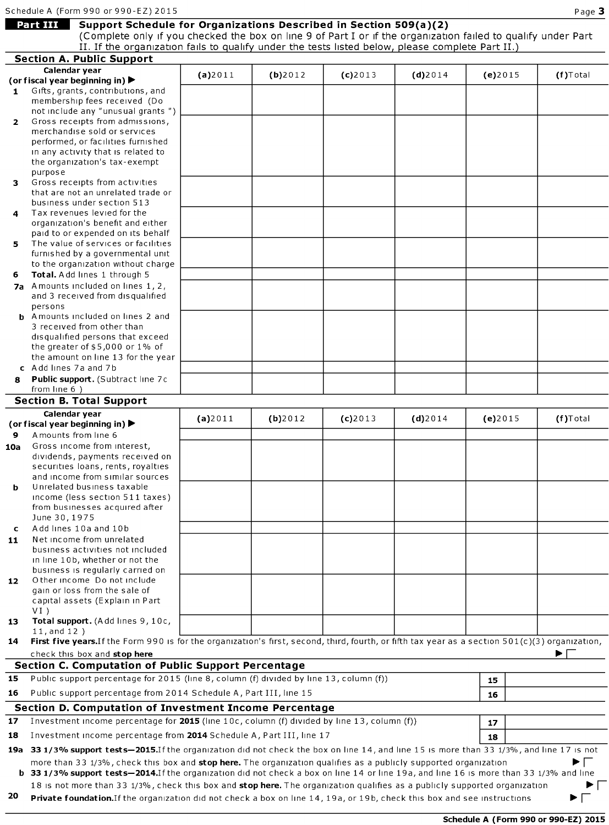## Part III Support Schedule for Organizations Described in Section 509(a)(2)

(Complete only if you checked the box on line 9 of Part <sup>I</sup> or if the organization failed to qualify under Part II. If the organization fails to qualify under the tests listed below, please complete Part II.)

|                | <b>Section A. Public Support</b>                                                                                                                                   |         |            |            |            |            |             |
|----------------|--------------------------------------------------------------------------------------------------------------------------------------------------------------------|---------|------------|------------|------------|------------|-------------|
|                | Calendar year                                                                                                                                                      | (a)2011 | (b)2012    | $(c)$ 2013 | $(d)$ 2014 | (e)2015    | $(f)$ Total |
|                | (or fiscal year beginning in) $\blacktriangleright$                                                                                                                |         |            |            |            |            |             |
| $\mathbf{1}$   | Gifts, grants, contributions, and                                                                                                                                  |         |            |            |            |            |             |
|                | membership fees received (Do                                                                                                                                       |         |            |            |            |            |             |
|                | not include any "unusual grants")<br>Gross receipts from admissions,                                                                                               |         |            |            |            |            |             |
| $\overline{2}$ | merchandise sold or services                                                                                                                                       |         |            |            |            |            |             |
|                | performed, or facilities furnished                                                                                                                                 |         |            |            |            |            |             |
|                | in any activity that is related to                                                                                                                                 |         |            |            |            |            |             |
|                | the organization's tax-exempt                                                                                                                                      |         |            |            |            |            |             |
|                | purpose                                                                                                                                                            |         |            |            |            |            |             |
| з.             | Gross receipts from activities                                                                                                                                     |         |            |            |            |            |             |
|                | that are not an unrelated trade or                                                                                                                                 |         |            |            |            |            |             |
|                | business under section 513                                                                                                                                         |         |            |            |            |            |             |
| 4              | Tax revenues levied for the                                                                                                                                        |         |            |            |            |            |             |
|                | organization's benefit and either                                                                                                                                  |         |            |            |            |            |             |
|                | paid to or expended on its behalf                                                                                                                                  |         |            |            |            |            |             |
| 5.             | The value of services or facilities                                                                                                                                |         |            |            |            |            |             |
|                | furnished by a governmental unit<br>to the organization without charge                                                                                             |         |            |            |            |            |             |
| 6              | Total. Add lines 1 through 5                                                                                                                                       |         |            |            |            |            |             |
|                | <b>7a</b> Amounts included on lines 1, 2,                                                                                                                          |         |            |            |            |            |             |
|                | and 3 received from disqualified                                                                                                                                   |         |            |            |            |            |             |
|                | persons                                                                                                                                                            |         |            |            |            |            |             |
|                | <b>b</b> Amounts included on lines 2 and                                                                                                                           |         |            |            |            |            |             |
|                | 3 received from other than                                                                                                                                         |         |            |            |            |            |             |
|                | disqualified persons that exceed                                                                                                                                   |         |            |            |            |            |             |
|                | the greater of $$5,000$ or $1\%$ of                                                                                                                                |         |            |            |            |            |             |
|                | the amount on line 13 for the year                                                                                                                                 |         |            |            |            |            |             |
|                | c Add lines 7a and 7b<br>Public support. (Subtract line 7c                                                                                                         |         |            |            |            |            |             |
| 8              | from line $6$ )                                                                                                                                                    |         |            |            |            |            |             |
|                | <b>Section B. Total Support</b>                                                                                                                                    |         |            |            |            |            |             |
|                | Calendar year                                                                                                                                                      |         |            |            |            |            |             |
|                | (or fiscal year beginning in) $\blacktriangleright$                                                                                                                | (a)2011 | $(b)$ 2012 | $(c)$ 2013 | $(d)$ 2014 | $(e)$ 2015 | $(f)$ Total |
| 9              | Amounts from line 6                                                                                                                                                |         |            |            |            |            |             |
| 10a            | Gross income from interest,                                                                                                                                        |         |            |            |            |            |             |
|                | dividends, payments received on                                                                                                                                    |         |            |            |            |            |             |
|                | securities loans, rents, royalties                                                                                                                                 |         |            |            |            |            |             |
|                | and income from similar sources                                                                                                                                    |         |            |            |            |            |             |
| b              | Unrelated business taxable                                                                                                                                         |         |            |            |            |            |             |
|                | income (less section 511 taxes)                                                                                                                                    |         |            |            |            |            |             |
|                | from businesses acquired after                                                                                                                                     |         |            |            |            |            |             |
|                | June 30, 1975<br>Add lines 10a and 10b                                                                                                                             |         |            |            |            |            |             |
| c              |                                                                                                                                                                    |         |            |            |            |            |             |
| 11             | Net income from unrelated<br>business activities not included                                                                                                      |         |            |            |            |            |             |
|                | in line 10b, whether or not the                                                                                                                                    |         |            |            |            |            |             |
|                | business is regularly carried on                                                                                                                                   |         |            |            |            |            |             |
| 12             | O ther income Do not include                                                                                                                                       |         |            |            |            |            |             |
|                | gain or loss from the sale of                                                                                                                                      |         |            |            |            |            |             |
|                | capital assets (Explain in Part                                                                                                                                    |         |            |            |            |            |             |
|                | VI)                                                                                                                                                                |         |            |            |            |            |             |
| 13             | Total support. (Add lines 9, 10c,                                                                                                                                  |         |            |            |            |            |             |
| 14             | 11, and $12$ )<br>First five years. If the Form 990 is for the organization's first, second, third, fourth, or fifth tax year as a section 501(c)(3) organization, |         |            |            |            |            |             |
|                | check this box and stop here                                                                                                                                       |         |            |            |            |            |             |
|                | Section C. Computation of Public Support Percentage                                                                                                                |         |            |            |            |            |             |
| 15             | Public support percentage for 2015 (line 8, column (f) divided by line 13, column (f))                                                                             |         |            |            |            |            |             |
|                |                                                                                                                                                                    |         |            |            |            | 15         |             |
| 16             | Public support percentage from 2014 Schedule A, Part III, line 15                                                                                                  |         |            |            |            | 16         |             |
|                | Section D. Computation of Investment Income Percentage                                                                                                             |         |            |            |            |            |             |
| 17             | Investment income percentage for 2015 (line 10c, column (f) divided by line 13, column (f))                                                                        |         |            |            |            | 17         |             |
| 18             | Investment income percentage from 2014 Schedule A, Part III, line 17                                                                                               |         |            |            |            | 18         |             |
|                | 19a 33 1/3% support tests-2015. If the organization did not check the box on line 14, and line 15 is more than 33 1/3%, and line 17 is not                         |         |            |            |            |            |             |
|                | more than 33 1/3%, check this box and stop here. The organization qualifies as a publicly supported organization                                                   |         |            |            |            |            | ÞГ          |
|                | <b>b</b> 33 1/3% support tests-2014. If the organization did not check a box on line 14 or line 19a, and line 16 is more than 33 1/3% and line                     |         |            |            |            |            |             |
|                | 18 is not more than 33 1/3%, check this box and stop here. The organization qualifies as a publicly supported organization                                         |         |            |            |            |            | ▶ │         |
| 20             | Private foundation. If the organization did not check a box on line 14, 19a, or 19b, check this box and see instructions                                           |         |            |            |            |            | ÞГ          |
|                |                                                                                                                                                                    |         |            |            |            |            |             |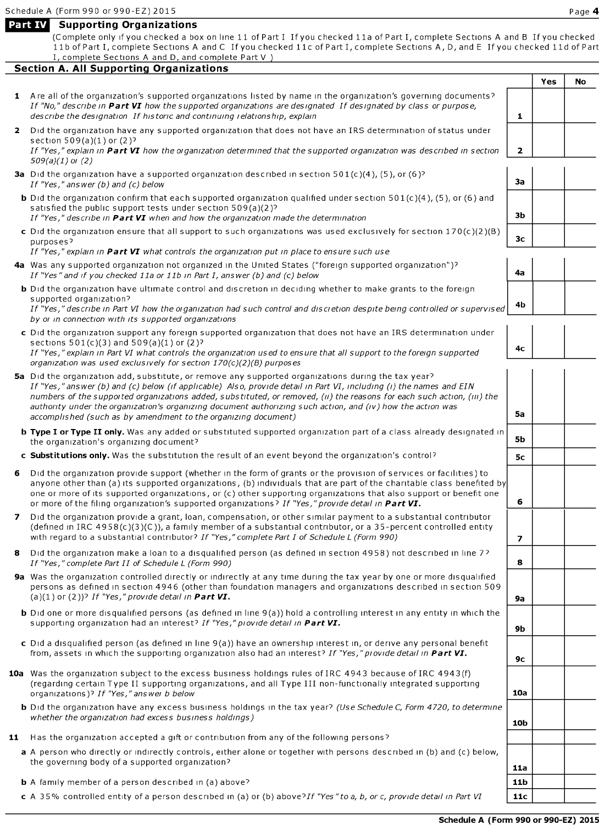$\overline{a}$ 

#### Part IV Supporting Organizations

(Complete only if you checked <sup>a</sup> box on line 11 of Part <sup>I</sup> If you checked 11a of Part I, complete Sections A and B If you checked 1lb of Part I, complete Sections A and C If you checked 1Ic of Part I, complete Sections A, D, and <sup>E</sup> If you checked <sup>l</sup> ld of Part I, complete Sections A and D, and complete Part V)

|              | <b>Section A. All Supporting Organizations</b>                                                                                                                                                                                                                                                                                                                                                                                                                                                                                                                                                                  |                 |     |    |
|--------------|-----------------------------------------------------------------------------------------------------------------------------------------------------------------------------------------------------------------------------------------------------------------------------------------------------------------------------------------------------------------------------------------------------------------------------------------------------------------------------------------------------------------------------------------------------------------------------------------------------------------|-----------------|-----|----|
|              |                                                                                                                                                                                                                                                                                                                                                                                                                                                                                                                                                                                                                 |                 | Yes | No |
|              | 1 Are all of the organization's supported organizations listed by name in the organization's governing documents?<br>If "No," describe in Part VI how the supported organizations are designated If designated by class or purpose,<br>describe the designation If historic and continuing relationship, explain                                                                                                                                                                                                                                                                                                | 1               |     |    |
| $\mathbf{2}$ | Did the organization have any supported organization that does not have an IRS determination of status under                                                                                                                                                                                                                                                                                                                                                                                                                                                                                                    |                 |     |    |
|              | section 509(a)(1) or (2)?<br>If "Yes," explain in Part VI how the organization determined that the supported organization was described in section<br>$509(a)(1)$ or (2)                                                                                                                                                                                                                                                                                                                                                                                                                                        | 2               |     |    |
|              | 3a Did the organization have a supported organization described in section $501(c)(4)$ , (5), or (6)?<br>If "Yes," answer $(b)$ and $(c)$ below                                                                                                                                                                                                                                                                                                                                                                                                                                                                 | За              |     |    |
|              | <b>b</b> Did the organization confirm that each supported organization qualified under section 501(c)(4), (5), or (6) and<br>satisfied the public support tests under section 509(a)(2)?<br>If "Yes," describe in Part VI when and how the organization made the determination                                                                                                                                                                                                                                                                                                                                  | 3b              |     |    |
|              | c Did the organization ensure that all support to such organizations was used exclusively for section $170(c)(2)(B)$<br>purposes?                                                                                                                                                                                                                                                                                                                                                                                                                                                                               | Зс              |     |    |
|              | If "Yes," explain in Part VI what controls the organization put in place to ensure such use                                                                                                                                                                                                                                                                                                                                                                                                                                                                                                                     |                 |     |    |
|              | 4a Was any supported organization not organized in the United States ("foreign supported organization")?<br>If "Yes" and if you checked 11a or 11b in Part I, answer (b) and (c) below                                                                                                                                                                                                                                                                                                                                                                                                                          | 4a              |     |    |
|              | <b>b</b> Did the organization have ultimate control and discretion in deciding whether to make grants to the foreign<br>supported organization?<br>If "Yes," describe in Part VI how the organization had such control and discretion despite being controlled or supervised                                                                                                                                                                                                                                                                                                                                    | 4b              |     |    |
|              | by or in connection with its supported organizations                                                                                                                                                                                                                                                                                                                                                                                                                                                                                                                                                            |                 |     |    |
|              | c Did the organization support any foreign supported organization that does not have an IRS determination under<br>sections $501(c)(3)$ and $509(a)(1)$ or $(2)$ ?<br>If "Yes," explain in Part VI what controls the organization used to ensure that all support to the foreign supported                                                                                                                                                                                                                                                                                                                      | 4с              |     |    |
|              | organization was used exclusively for section $170(c)(2)(B)$ purposes<br>5a Did the organization add, substitute, or remove any supported organizations during the tax year?<br>If "Yes," answer (b) and (c) below (if applicable) Also, provide detail in Part VI, including (i) the names and EIN<br>numbers of the supported organizations added, substituted, or removed, (ii) the reasons for each such action, (iii) the<br>authority under the organization's organizing document authorizing such action, and (iv) how the action was<br>accomplished (such as by amendment to the organizing document) | 5a              |     |    |
|              | <b>b Type I or Type II only.</b> Was any added or substituted supported organization part of a class already designated in<br>the organization's organizing document?                                                                                                                                                                                                                                                                                                                                                                                                                                           | 5b              |     |    |
|              | c Substitutions only. Was the substitution the result of an event beyond the organization's control?                                                                                                                                                                                                                                                                                                                                                                                                                                                                                                            | 5с              |     |    |
| 6            | Did the organization provide support (whether in the form of grants or the provision of services or facilities) to<br>anyone other than (a) its supported organizations, (b) individuals that are part of the charitable class benefited by<br>one or more of its supported organizations, or (c) other supporting organizations that also support or benefit one<br>or more of the filing organization's supported organizations? If "Yes," provide detail in Part VI.                                                                                                                                         | 6               |     |    |
| 7            | Did the organization provide a grant, loan, compensation, or other similar payment to a substantial contributor<br>(defined in IRC 4958(c)(3)(C)), a family member of a substantial contributor, or a 35-percent controlled entity<br>with regard to a substantial contributor? If "Yes," complete Part I of Schedule L (Form 990)                                                                                                                                                                                                                                                                              | 7               |     |    |
| 8            | Did the organization make a loan to a disqualified person (as defined in section 4958) not described in line 7?<br>If "Yes," complete Part II of Schedule L (Form 990)                                                                                                                                                                                                                                                                                                                                                                                                                                          | 8               |     |    |
|              | 9a Was the organization controlled directly or indirectly at any time during the tax year by one or more disqualified<br>persons as defined in section 4946 (other than foundation managers and organizations described in section 509<br>(a)(1) or (2))? If "Yes," provide detail in <b>Part VI.</b>                                                                                                                                                                                                                                                                                                           | 9а              |     |    |
|              | <b>b</b> Did one or more disqualified persons (as defined in line 9(a)) hold a controlling interest in any entity in which the<br>supporting organization had an interest? If "Yes," provide detail in Part VI.                                                                                                                                                                                                                                                                                                                                                                                                 | 9b              |     |    |
|              | c Did a disqualified person (as defined in line 9(a)) have an ownership interest in, or derive any personal benefit<br>from, assets in which the supporting organization also had an interest? If "Yes," provide detail in Part VI.                                                                                                                                                                                                                                                                                                                                                                             | 9с              |     |    |
|              | $10a$ Was the organization subject to the excess business holdings rules of IRC 4943 because of IRC 4943(f)<br>(regarding certain Type II supporting organizations, and all Type III non-functionally integrated supporting<br>organizations)? If "Yes," answer b below                                                                                                                                                                                                                                                                                                                                         | 10a             |     |    |
|              | <b>b</b> Did the organization have any excess business holdings in the tax year? (Use Schedule C, Form 4720, to determine<br>whether the organization had excess business holdings)                                                                                                                                                                                                                                                                                                                                                                                                                             | 10b             |     |    |
| 11           | Has the organization accepted a gift or contribution from any of the following persons?                                                                                                                                                                                                                                                                                                                                                                                                                                                                                                                         |                 |     |    |
|              | a A person who directly or indirectly controls, either alone or together with persons described in (b) and (c) below,<br>the governing body of a supported organization?                                                                                                                                                                                                                                                                                                                                                                                                                                        | 11a             |     |    |
|              | <b>b</b> A family member of a person described in (a) above?                                                                                                                                                                                                                                                                                                                                                                                                                                                                                                                                                    | 11 <sub>b</sub> |     |    |
|              |                                                                                                                                                                                                                                                                                                                                                                                                                                                                                                                                                                                                                 |                 |     |    |

c A 35% controlled entity of a person described in (a) or (b) above  $71f$  "Yes" to a, b, or c, provide detail in Part VI

**11c**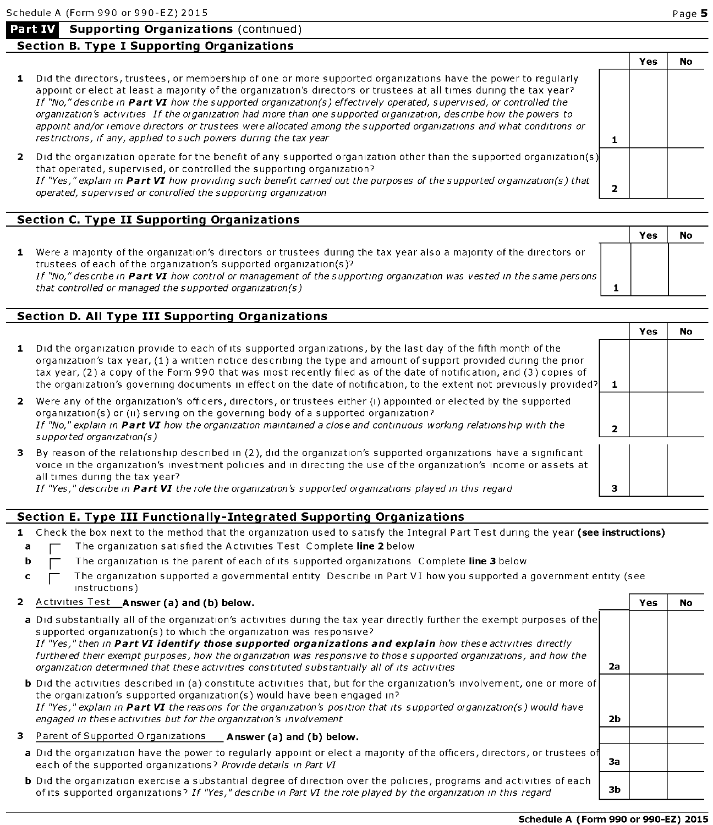#### Supporting Organizations (continued) Part IV

### Section B. Type <sup>I</sup> Supporting Organizations

- 1 Did the directors, trustees, or membership of one or more supported organizations have the power to regularly appoint or elect at least a majority of the organization's directors or trustees at all times during the tax year? If "No," describe in Part VI how the supported organization(s) effectively operated, supervised, or controlled the organization's activities If the organization had more than one supported organization, describe how the powers to appoint and/or remove directors or trustees were allocated among the supported organizations and what conditions or restrictions, if any, applied to such powers during the tax year  $\mathbf{1}$
- 2 Did the organization operate for the benefit of any supported organization other than the supported organization(s) that operated, supervised, or controlled the supporting organization? If "Yes," explain in Part VI how providing such benefit carried out the purposes of the supported organization(s) that  $\overline{2}$ operated, supervised or controlled the supporting organization

#### Section C. Type II Supporting Organizations

Yes No  $\mathbf{1}$ Were <sup>a</sup> majority of the organization's directors or trustees during the tax year also <sup>a</sup> majority of the directors or trustees of each of the organization's supported organization(s)' If "No," describe in Part VI how control or management of the supporting organization was vested in the same persons that controlled or managed the supported organization(s)  $\mathbf{1}$ 

#### Section D. All Type III Supporting Organizations

|              |                                                                                                                                                                                                                                                                                                                                                                                                                                                                                    |   | Yes | No |
|--------------|------------------------------------------------------------------------------------------------------------------------------------------------------------------------------------------------------------------------------------------------------------------------------------------------------------------------------------------------------------------------------------------------------------------------------------------------------------------------------------|---|-----|----|
| $\mathbf{1}$ | Did the organization provide to each of its supported organizations, by the last day of the fifth month of the<br>organization's tax year, (1) a written notice describing the type and amount of support provided during the prior<br>tax year, (2) a copy of the Form 990 that was most recently filed as of the date of notification, and (3) copies of<br>the organization's governing documents in effect on the date of notification, to the extent not previously provided? |   |     |    |
| $\mathbf{2}$ | Were any of the organization's officers, directors, or trustees either (i) appointed or elected by the supported<br>organization(s) or (ii) serving on the governing body of a supported organization?<br>If "No," explain in Part VI how the organization maintained a close and continuous working relationship with the<br>supported organization(s)                                                                                                                            |   |     |    |
|              | 3 By reason of the relationship described in (2), did the organization's supported organizations have a significant<br>voice in the organization's investment policies and in directing the use of the organization's income or assets at<br>all times during the tax year?<br>If "Yes," describe in Part VI the role the organization's supported organizations played in this regard                                                                                             | з |     |    |

### Section E. Type III Functionally-Integrated Supporting Organizations

- Check the box next to the method that the organization used to satisfy the Integral Part Test during the year (see instructions)  $\mathbf{1}$
- $\overline{\mathbf{a}}$ The organization satisfied the Activities Test Complete line 2 below
- The organization is the parent of each of its supported organizations Complete line 3 below b
- The organization supported a governmental entity Describe in Part VI how you supported a government entity (see  $\mathbf c$ instructions)
- 2 Activities Test\_Answer (a) and (b) below.
- a Did substantially all of the organization's activities during the tax year directly further the exempt purposes of the supported organization(s) to which the organization was responsive? If "Yes," then in Part VI identify those supported organizations and explain how these activities directly furthered their exempt purposes, how the organization was responsive to those supported organizations, and how the organization determined that these activities constituted substantially all of Its activities  $2a$
- **b** Did the activities described in (a) constitute activities that, but for the organization's involvement, one or more of the organization's supported organization(s) would have been engaged in? If "Yes," explain in **Part VI** the reasons for the organization's position that its supported organization(s) would have engaged in these activities but for the organization's involvement
- 3 Parent of Supported Organizations \_\_ Answer (a) and (b) below.
- a Did the organization have the power to regularly appoint or elect a majority of the officers, directors, or trustees of each of the supported organizations? Provide details in Part VI
- b Did the organization exercise <sup>a</sup> substantial degree of direction over the policies, programs and activities of each of its supported organizations? If "Yes," describe in Part VI the role played by the organization in this regard

No

Yes

 $2<sub>b</sub>$ 

 $3a$ 

 $3<sub>b</sub>$ 

Yes

**No**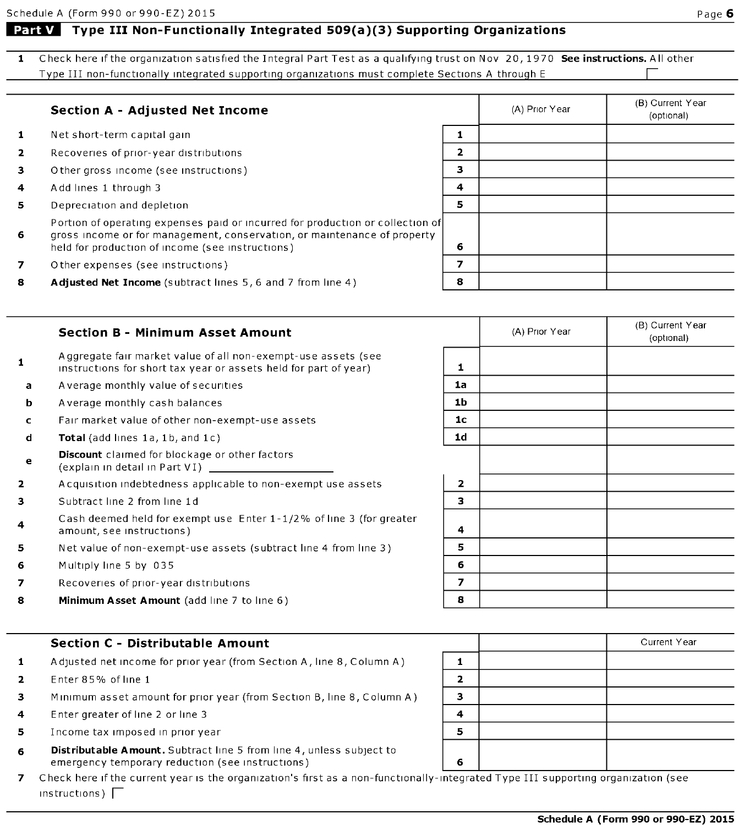Schedule A (Form 990 or 990-EZ) 2015 Page 6

#### Part V Type III Non-Functionally Integrated 509(a)(3) Supporting Organizations

1 Check here if the organization satisfied the Integral Part Test as a qualifying trust on Nov 20, 1970 See instructions. All other Type III non-functionally integrated supporting organizations must complete Sections A through E

|              | <b>Section A - Adjusted Net Income</b>                                                                                                                                                                         |   | (A) Prior Year | (B) Current Year<br>(optional) |
|--------------|----------------------------------------------------------------------------------------------------------------------------------------------------------------------------------------------------------------|---|----------------|--------------------------------|
| 1            | Net short-term capital gain                                                                                                                                                                                    |   |                |                                |
| $\mathbf{z}$ | Recoveries of prior-year distributions                                                                                                                                                                         | 2 |                |                                |
| 3            | Other gross income (see instructions)                                                                                                                                                                          | 3 |                |                                |
| 4            | Add lines 1 through 3                                                                                                                                                                                          | 4 |                |                                |
| 5            | Depreciation and depletion                                                                                                                                                                                     | 5 |                |                                |
| 6            | Portion of operating expenses paid or incurred for production or collection of<br>gross income or for management, conservation, or maintenance of property<br>held for production of income (see instructions) | 6 |                |                                |
|              | Other expenses (see instructions)                                                                                                                                                                              |   |                |                                |
|              |                                                                                                                                                                                                                |   |                |                                |

8 Adjusted Net Income (subtract lines 5, 6 and 7 from line 4)  $\vert$  8  $\vert$ 

#### Section B - Minimum Asset Amount

- <sup>1</sup> Aggregate fair market value of all non-exempt-use assets (see instructions for short tax year or assets held for part of year)
- A verage monthly value of securities
- **b** Average monthly cash balances
- c Fair market value of other non-exempt-use assets
- d **Total** (add lines  $1a$ ,  $1b$ , and  $1c$ )
- Discount claimed for blockage or other factors e e (explain in detail in Part VI)
- 2 Acquisition indebtedness applicable to non-exempt use assets
- 3 Subtract line 2 from line 1d
- Cash deemed held for exempt use Enter 1-1/2% of line 3 (for greater amount, see instructions) 4
- 5 Net value of non-exempt-use assets (subtract line 4 from line 3)
- 6 Multiply line 5 by 035
- **7** Recoveries of prior-year distributions
- 8 Minimum Asset Amount (add line 7 to line 6)

#### Section C - Distributable Amount

- 1 Adjusted net income for prior year (from Section A, line 8, Column A)
- 2 Enter 85% of line 1
- 3 Minimum asset amount for prior year (from Section B, line 8, Column A)
- 4 Enter greater of line 2 or line 3
- 5 Income tax imposed in prior year
- 6 Distributable Amount. Subtract line 5 from line 4, unless subject to emergency temporary reduction (see instructions) 6
- 7 Check here if the current year is the organization's first as <sup>a</sup> non-functionally-integrated Type III supporting organization (see  $instructor$ )  $\Box$

|                | (A) Prior Year | (B) Current Year<br>(optional) |
|----------------|----------------|--------------------------------|
|                |                |                                |
| 1              |                |                                |
| 1a             |                |                                |
| 1 <sub>b</sub> |                |                                |
| 1 <sub>c</sub> |                |                                |
| 1d             |                |                                |
|                |                |                                |
|                |                |                                |
| 2              |                |                                |
| 3              |                |                                |
|                |                |                                |
| 4              |                |                                |
| 5              |                |                                |
| 6              |                |                                |
| 7              |                |                                |
| 8              |                |                                |

|   | Current Year |
|---|--------------|
|   |              |
| 2 |              |
| 3 |              |
| 4 |              |
| 5 |              |
| 6 |              |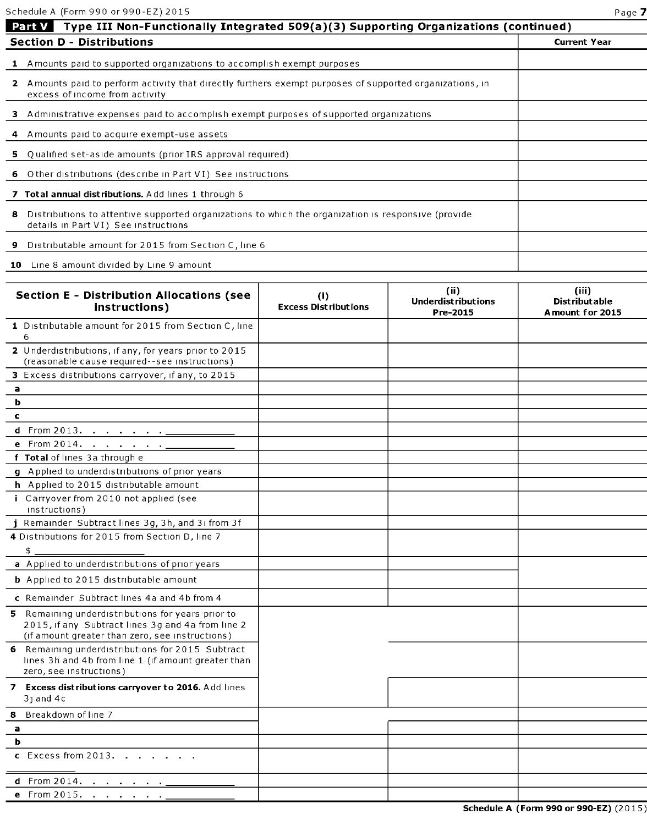Schedule A (Form 990 or 990-EZ) 2015 Page 7

| Type III Non-Functionally Integrated 509(a)(3) Supporting Organizations (continued)<br>Part V                                                    |                     |  |  |  |  |
|--------------------------------------------------------------------------------------------------------------------------------------------------|---------------------|--|--|--|--|
| <b>Section D - Distributions</b>                                                                                                                 | <b>Current Year</b> |  |  |  |  |
| Amounts paid to supported organizations to accomplish exempt purposes                                                                            |                     |  |  |  |  |
| Amounts paid to perform activity that directly furthers exempt purposes of supported organizations, in<br>2<br>excess of income from activity    |                     |  |  |  |  |
| Administrative expenses paid to accomplish exempt purposes of supported organizations<br>з.                                                      |                     |  |  |  |  |
| Amounts paid to acquire exempt-use assets<br>4                                                                                                   |                     |  |  |  |  |
| Qualified set-aside amounts (prior IRS approval required)<br>5.                                                                                  |                     |  |  |  |  |
| Other distributions (describe in Part VI) See instructions<br>6                                                                                  |                     |  |  |  |  |
| <b>Total annual distributions.</b> Add lines 1 through 6                                                                                         |                     |  |  |  |  |
| Distributions to attentive supported organizations to which the organization is responsive (provide<br>8<br>details in Part VI) See instructions |                     |  |  |  |  |
| Distributable amount for 2015 from Section C, line 6                                                                                             |                     |  |  |  |  |
| <b>10</b> Line 8 amount divided by Line 9 amount                                                                                                 |                     |  |  |  |  |

| <b>Section E - Distribution Allocations (see</b><br>instructions)                                                                                         | (i)<br><b>Excess Distributions</b> | (ii)<br><b>Underdistributions</b><br>Pre-2015 | (iii)<br><b>Distributable</b><br>Amount for 2015 |
|-----------------------------------------------------------------------------------------------------------------------------------------------------------|------------------------------------|-----------------------------------------------|--------------------------------------------------|
| 1 Distributable amount for 2015 from Section C, line<br>6                                                                                                 |                                    |                                               |                                                  |
| 2 Underdistributions, if any, for years prior to 2015<br>(reasonable cause required--see instructions)                                                    |                                    |                                               |                                                  |
| 3 Excess distributions carryover, if any, to 2015                                                                                                         |                                    |                                               |                                                  |
| $\blacksquare$                                                                                                                                            |                                    |                                               |                                                  |
| ь                                                                                                                                                         |                                    |                                               |                                                  |
| c                                                                                                                                                         |                                    |                                               |                                                  |
| d From 2013.                                                                                                                                              |                                    |                                               |                                                  |
| <b>e</b> From 2014.                                                                                                                                       |                                    |                                               |                                                  |
| f Total of lines 3a through e                                                                                                                             |                                    |                                               |                                                  |
| g Applied to underdistributions of prior years                                                                                                            |                                    |                                               |                                                  |
| h Applied to 2015 distributable amount                                                                                                                    |                                    |                                               |                                                  |
| i Carryover from 2010 not applied (see<br>instructions)                                                                                                   |                                    |                                               |                                                  |
| j Remainder Subtract lines 3g, 3h, and 3i from 3f                                                                                                         |                                    |                                               |                                                  |
| 4 Distributions for 2015 from Section D, line 7                                                                                                           |                                    |                                               |                                                  |
| $$^{\circ}$                                                                                                                                               |                                    |                                               |                                                  |
| a Applied to underdistributions of prior years                                                                                                            |                                    |                                               |                                                  |
| <b>b</b> Applied to 2015 distributable amount                                                                                                             |                                    |                                               |                                                  |
| c Remainder Subtract lines 4a and 4b from 4                                                                                                               |                                    |                                               |                                                  |
| 5 Remaining underdistributions for years prior to<br>2015, if any Subtract lines 3q and 4a from line 2<br>(if amount greater than zero, see instructions) |                                    |                                               |                                                  |
| Remaining underdistributions for 2015 Subtract<br>6<br>lines 3h and 4b from line 1 (if amount greater than<br>zero, see instructions)                     |                                    |                                               |                                                  |
| 7 Excess distributions carryover to 2016. Add lines<br>$31$ and $4c$                                                                                      |                                    |                                               |                                                  |
| Breakdown of line 7<br>8                                                                                                                                  |                                    |                                               |                                                  |
| a                                                                                                                                                         |                                    |                                               |                                                  |
| ь                                                                                                                                                         |                                    |                                               |                                                  |
| c Excess from 2013. $\cdot$                                                                                                                               |                                    |                                               |                                                  |
| d From 2014.                                                                                                                                              |                                    |                                               |                                                  |
| <b>e</b> From 2015.                                                                                                                                       |                                    |                                               |                                                  |

Schedule A (Form 990 or 990-EZ) (201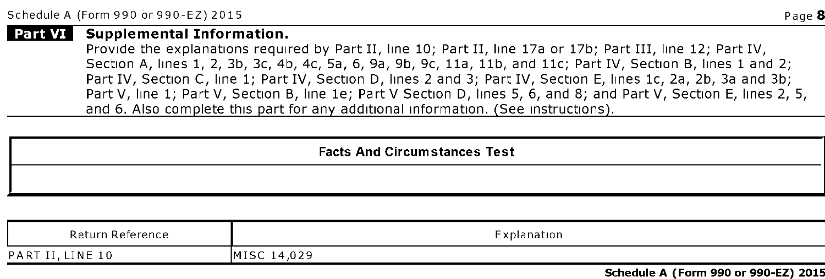#### **Part VI** Supplemental Information.

Provide the explanations required by Part II, line 10; Part II, line 17a or 17b; Part III, line 12; Part IV, Section A, lines 1, 2, 3b, 3c, 4b, 4c, 5a, 6, 9a, 9b, 9c, 11a, 11b, and 11c; Part IV, Section B, lines <sup>1</sup> and 2; Part IV, Section C, line 1; Part IV, Section D, lines 2 and 3; Part IV, Section E, lines 1c, 2a, 2b, 3a and 3b; Part V, line 1; Part V, Section B, line 1e; Part V Section D, lines 5, 6, and 8; and Part V, Section E, lines 2, 5, and 6. Also complete this part for any additional information. (See instructions).

| <b>Facts And Circumstances Test</b> |             |             |  |
|-------------------------------------|-------------|-------------|--|
|                                     |             |             |  |
|                                     |             |             |  |
| Return Reference                    |             | Explanation |  |
| PART II. LINE 10                    | MISC 14.029 |             |  |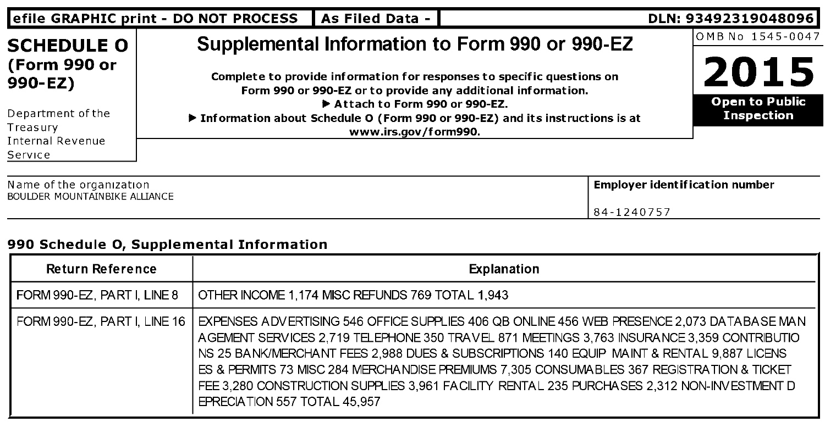|                                    | efile GRAPHIC print - DO NOT PROCESS | <b>As Filed Data -</b>                                                                                                                 |                                                                                | DLN: 93492319048096                   |
|------------------------------------|--------------------------------------|----------------------------------------------------------------------------------------------------------------------------------------|--------------------------------------------------------------------------------|---------------------------------------|
| <b>SCHEDULE O</b>                  |                                      |                                                                                                                                        | Supplemental Information to Form 990 or 990-EZ                                 | IOMB No 1545-0047                     |
| (Form 990 or<br>$990-EZ)$          |                                      | Complete to provide information for responses to specific questions on<br>Form 990 or 990-EZ or to provide any additional information. |                                                                                | 2015                                  |
| Department of the<br>Treasury      |                                      | Attach to Form 990 or 990-EZ.<br>www.irs.gov/form990.                                                                                  | > Information about Schedule O (Form 990 or 990-EZ) and its instructions is at | Open to Public<br>Inspection          |
| <b>Internal Revenue</b><br>Service |                                      |                                                                                                                                        |                                                                                |                                       |
| Name of the organization           |                                      |                                                                                                                                        |                                                                                | <b>Employer identification number</b> |

| Name of the organization      | Emplover identification num |
|-------------------------------|-----------------------------|
| BOULDER MOUNTAINBIKE ALLIANCE |                             |
|                               | 84-1240757                  |

## 990 Schedule 0, Supplemental Information

| <b>Return Reference</b>         | <b>Explanation</b>                                                                                                                                                                                                                                                                                                                                                                                                                                                                                                                               |
|---------------------------------|--------------------------------------------------------------------------------------------------------------------------------------------------------------------------------------------------------------------------------------------------------------------------------------------------------------------------------------------------------------------------------------------------------------------------------------------------------------------------------------------------------------------------------------------------|
| FORM 990- $EZ$ . PART I. LINE 8 | OTHER INCOME 1.174 MISC REFUNDS 769 TOTAL 1.943                                                                                                                                                                                                                                                                                                                                                                                                                                                                                                  |
|                                 | FORM 990-EZ, PART I, LINE 16   EXPENSES ADVERTISING 546 OFFICE SUPPLIES 406 QB ONLINE 456 WEB PRESENCE 2.073 DATABASE MAN<br>A GEMENT SERVICES 2.719 TELEPHONE 350 TRAVEL 871 MEETINGS 3.763 INSURANCE 3.359 CONTRIBUTIO<br>NS 25 BANK/MERCHANT FEES 2,988 DUES & SUBSCRIPTIONS 140 EQUIP MAINT & RENTAL 9,887 LICENS<br>ES & PERMITS 73 MISC 284 MERCHANDISE PREMIUMS 7,305 CONSUMABLES 367 REGISTRATION & TICKET<br>FEE 3,280 CONSTRUCTION SUPPLIES 3,961 FACILITY RENTAL 235 PURCHASES 2,312 NON-INVESTMENT D<br>EPRECIATION 557 TOTAL 45.957 |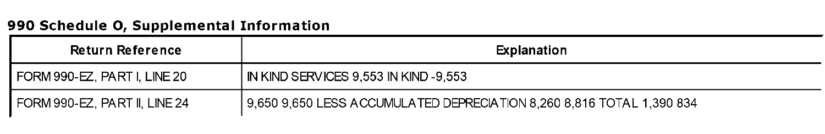#### 990 Schedule 0, Supplemental Information

| Return Reference              | Explanation                                                             |
|-------------------------------|-------------------------------------------------------------------------|
| IFORM 990-EZ, PART I, LINE 20 | I IN KIND SERVICES 9.553 IN KIND -9.553 I                               |
| FORM 990-EZ, PART II, LINE 24 | I 9,650 9,650 LESS ACCUMULATED DEPRECIATION 8,260 8,816 TOTAL 1,390 834 |